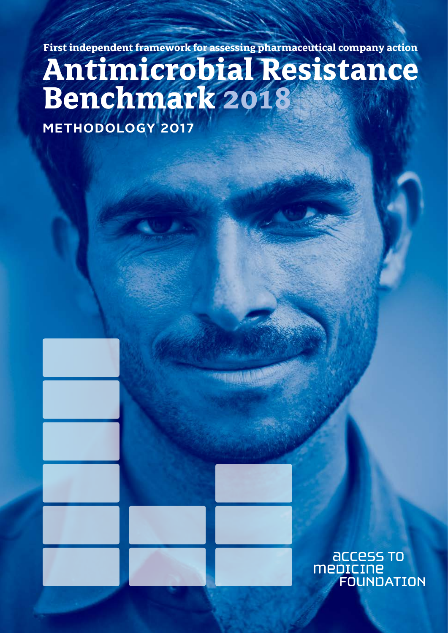**First independent framework for assessing pharmaceutical company action**

# **Antimicrobial Resistance Benchmark 2018**

**METHODOLOGY 2017**

**ACCESS TO** mepicine **FOUNDATION**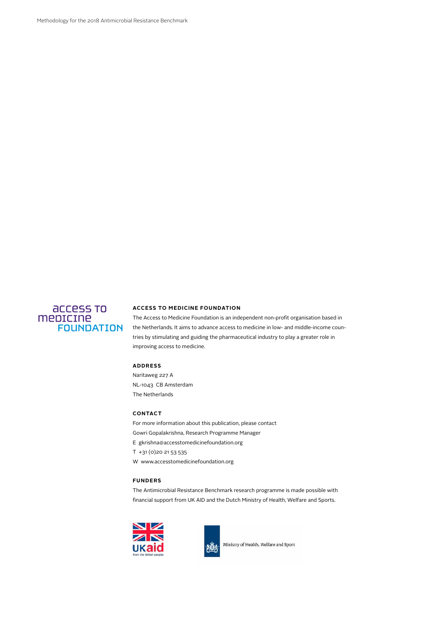# **FOUNDATION**

#### **ACCESS TO MEDICINE FOUNDATION**

The Access to Medicine Foundation is an independent non-profit organisation based in the Netherlands. It aims to advance access to medicine in low- and middle-income countries by stimulating and guiding the pharmaceutical industry to play a greater role in improving access to medicine.

# **ADDRESS**

Naritaweg 227 A NL-1043 CB Amsterdam The Netherlands

#### **CONTACT**

For more information about this publication, please contact Gowri Gopalakrishna, Research Programme Manager E gkrishna@accesstomedicinefoundation.org T +31 (0)20 21 53 535

W www.accesstomedicinefoundation.org

### **FUNDERS**

The Antimicrobial Resistance Benchmark research programme is made possible with financial support from UK AID and the Dutch Ministry of Health, Welfare and Sports.





Ministry of Health, Welfare and Sport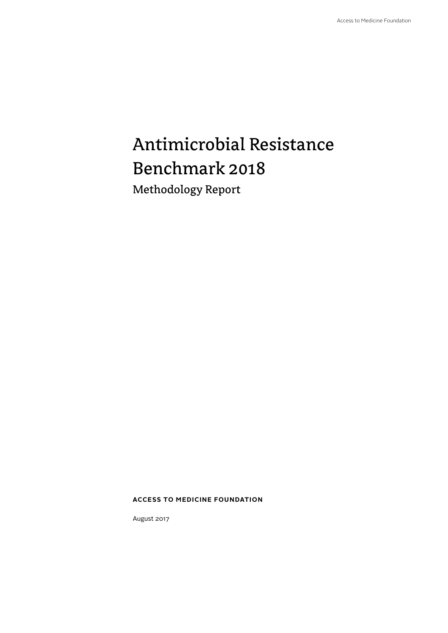# Antimicrobial Resistance Benchmark 2018

Methodology Report

# **ACCESS TO MEDICINE FOUNDATION**

August 2017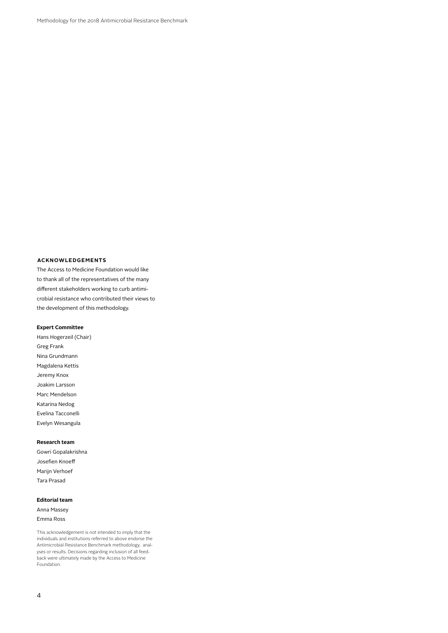### **ACKNOWLEDGEMENTS**

The Access to Medicine Foundation would like to thank all of the representatives of the many different stakeholders working to curb antimicrobial resistance who contributed their views to the development of this methodology.

#### **Expert Committee**

Hans Hogerzeil (Chair) Greg Frank Nina Grundmann Magdalena Kettis Jeremy Knox Joakim Larsson Marc Mendelson Katarina Nedog Evelina Tacconelli Evelyn Wesangula

### **Research team**

Gowri Gopalakrishna Josefien Knoeff Marijn Verhoef Tara Prasad

#### **Editorial team**

Anna Massey Emma Ross

This acknowledgement is not intended to imply that the individuals and institutions referred to above endorse the Antimicrobial Resistance Benchmark methodology, analyses or results. Decisions regarding inclusion of all feedback were ultimately made by the Access to Medicine Foundation.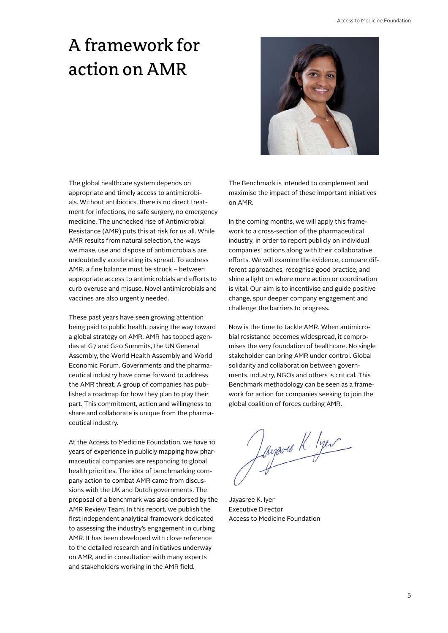# A framework for action on AMR



The global healthcare system depends on appropriate and timely access to antimicrobials. Without antibiotics, there is no direct treatment for infections, no safe surgery, no emergency medicine. The unchecked rise of Antimicrobial Resistance (AMR) puts this at risk for us all. While AMR results from natural selection, the ways we make, use and dispose of antimicrobials are undoubtedly accelerating its spread. To address AMR, a fine balance must be struck – between appropriate access to antimicrobials and efforts to curb overuse and misuse. Novel antimicrobials and vaccines are also urgently needed.

These past years have seen growing attention being paid to public health, paving the way toward a global strategy on AMR. AMR has topped agendas at G7 and G20 Summits, the UN General Assembly, the World Health Assembly and World Economic Forum. Governments and the pharmaceutical industry have come forward to address the AMR threat. A group of companies has published a roadmap for how they plan to play their part. This commitment, action and willingness to share and collaborate is unique from the pharmaceutical industry.

At the Access to Medicine Foundation, we have 10 years of experience in publicly mapping how pharmaceutical companies are responding to global health priorities. The idea of benchmarking company action to combat AMR came from discussions with the UK and Dutch governments. The proposal of a benchmark was also endorsed by the AMR Review Team. In this report, we publish the first independent analytical framework dedicated to assessing the industry's engagement in curbing AMR. It has been developed with close reference to the detailed research and initiatives underway on AMR, and in consultation with many experts and stakeholders working in the AMR field.

The Benchmark is intended to complement and maximise the impact of these important initiatives on AMR.

In the coming months, we will apply this framework to a cross-section of the pharmaceutical industry, in order to report publicly on individual companies' actions along with their collaborative efforts. We will examine the evidence, compare different approaches, recognise good practice, and shine a light on where more action or coordination is vital. Our aim is to incentivise and guide positive change, spur deeper company engagement and challenge the barriers to progress.

Now is the time to tackle AMR. When antimicrobial resistance becomes widespread, it compromises the very foundation of healthcare. No single stakeholder can bring AMR under control. Global solidarity and collaboration between governments, industry, NGOs and others is critical. This Benchmark methodology can be seen as a framework for action for companies seeking to join the global coalition of forces curbing AMR.

Jayares K. Yes

Jayasree K. Iyer Executive Director Access to Medicine Foundation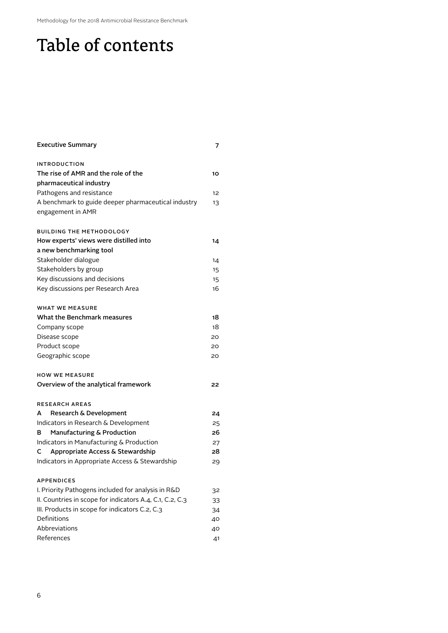Methodology for the 2018 Antimicrobial Resistance Benchmark

# Table of contents

| <b>Executive Summary</b>                                 | 7  |
|----------------------------------------------------------|----|
| <b>INTRODUCTION</b>                                      |    |
| The rise of AMR and the role of the                      | 10 |
| pharmaceutical industry                                  |    |
| Pathogens and resistance                                 | 12 |
| A benchmark to guide deeper pharmaceutical industry      | 13 |
| engagement in AMR                                        |    |
| <b>BUILDING THE METHODOLOGY</b>                          |    |
| How experts' views were distilled into                   | 14 |
| a new benchmarking tool                                  |    |
| Stakeholder dialogue                                     | 14 |
| Stakeholders by group                                    | 15 |
| Key discussions and decisions                            | 15 |
| Key discussions per Research Area                        | 16 |
| <b>WHAT WE MEASURE</b>                                   |    |
| <b>What the Benchmark measures</b>                       | 18 |
| Company scope                                            | 18 |
| Disease scope                                            | 20 |
| Product scope                                            | 20 |
| Geographic scope                                         | 20 |
| <b>HOW WE MEASURE</b>                                    |    |
| Overview of the analytical framework                     | 22 |
| <b>RESEARCH AREAS</b>                                    |    |
| Research & Development<br>А                              | 24 |
| Indicators in Research & Development                     | 25 |
| Manufacturing & Production<br>в                          | 26 |
| Indicators in Manufacturing & Production                 | 27 |
| Appropriate Access & Stewardship<br>c                    | 28 |
| Indicators in Appropriate Access & Stewardship           | 29 |
| <b>APPENDICES</b>                                        |    |
| I. Priority Pathogens included for analysis in R&D       | 32 |
| II. Countries in scope for indicators A.4, C.1, C.2, C.3 | 33 |
| III. Products in scope for indicators C.2, C.3           | 34 |
| Definitions                                              | 40 |
| Abbreviations                                            | 40 |
| References                                               | 41 |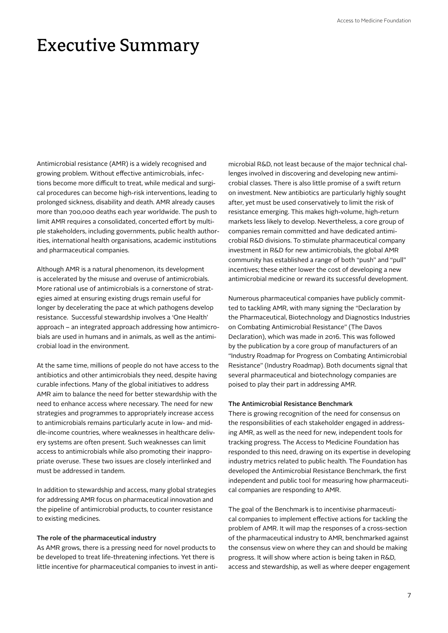# Executive Summary

Antimicrobial resistance (AMR) is a widely recognised and growing problem. Without effective antimicrobials, infections become more difficult to treat, while medical and surgical procedures can become high-risk interventions, leading to prolonged sickness, disability and death. AMR already causes more than 700,000 deaths each year worldwide. The push to limit AMR requires a consolidated, concerted effort by multiple stakeholders, including governments, public health authorities, international health organisations, academic institutions and pharmaceutical companies.

Although AMR is a natural phenomenon, its development is accelerated by the misuse and overuse of antimicrobials. More rational use of antimicrobials is a cornerstone of strategies aimed at ensuring existing drugs remain useful for longer by decelerating the pace at which pathogens develop resistance. Successful stewardship involves a 'One Health' approach – an integrated approach addressing how antimicrobials are used in humans and in animals, as well as the antimicrobial load in the environment.

At the same time, millions of people do not have access to the antibiotics and other antimicrobials they need, despite having curable infections. Many of the global initiatives to address AMR aim to balance the need for better stewardship with the need to enhance access where necessary. The need for new strategies and programmes to appropriately increase access to antimicrobials remains particularly acute in low- and middle-income countries, where weaknesses in healthcare delivery systems are often present. Such weaknesses can limit access to antimicrobials while also promoting their inappropriate overuse. These two issues are closely interlinked and must be addressed in tandem.

In addition to stewardship and access, many global strategies for addressing AMR focus on pharmaceutical innovation and the pipeline of antimicrobial products, to counter resistance to existing medicines.

# The role of the pharmaceutical industry

As AMR grows, there is a pressing need for novel products to be developed to treat life-threatening infections. Yet there is little incentive for pharmaceutical companies to invest in anti-

microbial R&D, not least because of the major technical challenges involved in discovering and developing new antimicrobial classes. There is also little promise of a swift return on investment. New antibiotics are particularly highly sought after, yet must be used conservatively to limit the risk of resistance emerging. This makes high-volume, high-return markets less likely to develop. Nevertheless, a core group of companies remain committed and have dedicated antimicrobial R&D divisions. To stimulate pharmaceutical company investment in R&D for new antimicrobials, the global AMR community has established a range of both "push" and "pull" incentives; these either lower the cost of developing a new antimicrobial medicine or reward its successful development.

Numerous pharmaceutical companies have publicly committed to tackling AMR, with many signing the "Declaration by the Pharmaceutical, Biotechnology and Diagnostics Industries on Combating Antimicrobial Resistance" (The Davos Declaration), which was made in 2016. This was followed by the publication by a core group of manufacturers of an "Industry Roadmap for Progress on Combating Antimicrobial Resistance" (Industry Roadmap). Both documents signal that several pharmaceutical and biotechnology companies are poised to play their part in addressing AMR.

# The Antimicrobial Resistance Benchmark

There is growing recognition of the need for consensus on the responsibilities of each stakeholder engaged in addressing AMR, as well as the need for new, independent tools for tracking progress. The Access to Medicine Foundation has responded to this need, drawing on its expertise in developing industry metrics related to public health. The Foundation has developed the Antimicrobial Resistance Benchmark, the first independent and public tool for measuring how pharmaceutical companies are responding to AMR.

The goal of the Benchmark is to incentivise pharmaceutical companies to implement effective actions for tackling the problem of AMR. It will map the responses of a cross-section of the pharmaceutical industry to AMR, benchmarked against the consensus view on where they can and should be making progress. It will show where action is being taken in R&D, access and stewardship, as well as where deeper engagement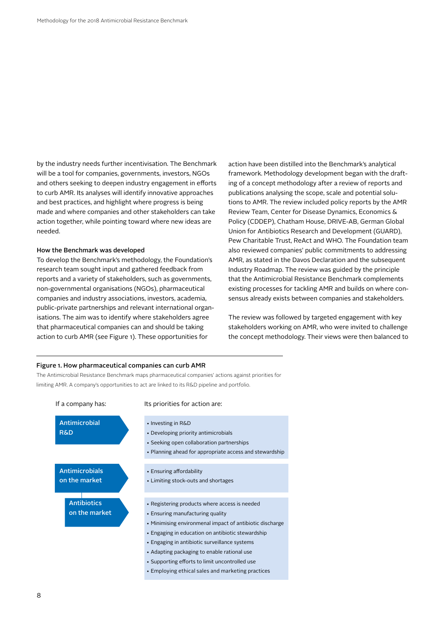by the industry needs further incentivisation. The Benchmark will be a tool for companies, governments, investors, NGOs and others seeking to deepen industry engagement in efforts to curb AMR. Its analyses will identify innovative approaches and best practices, and highlight where progress is being made and where companies and other stakeholders can take action together, while pointing toward where new ideas are needed.

#### How the Benchmark was developed

To develop the Benchmark's methodology, the Foundation's research team sought input and gathered feedback from reports and a variety of stakeholders, such as governments, non-governmental organisations (NGOs), pharmaceutical companies and industry associations, investors, academia, public-private partnerships and relevant international organisations. The aim was to identify where stakeholders agree that pharmaceutical companies can and should be taking action to curb AMR (see Figure 1). These opportunities for

action have been distilled into the Benchmark's analytical framework. Methodology development began with the drafting of a concept methodology after a review of reports and publications analysing the scope, scale and potential solutions to AMR. The review included policy reports by the AMR Review Team, Center for Disease Dynamics, Economics & Policy (CDDEP), Chatham House, DRIVE-AB, German Global Union for Antibiotics Research and Development (GUARD), Pew Charitable Trust, ReAct and WHO. The Foundation team also reviewed companies' public commitments to addressing AMR, as stated in the Davos Declaration and the subsequent Industry Roadmap. The review was guided by the principle that the Antimicrobial Resistance Benchmark complements existing processes for tackling AMR and builds on where consensus already exists between companies and stakeholders.

The review was followed by targeted engagement with key stakeholders working on AMR, who were invited to challenge the concept methodology. Their views were then balanced to

### Figure 1. How pharmaceutical companies can curb AMR

The Antimicrobial Resistance Benchmark maps pharmaceutical companies' actions against priorities for limiting AMR. A company's opportunities to act are linked to its R&D pipeline and portfolio.

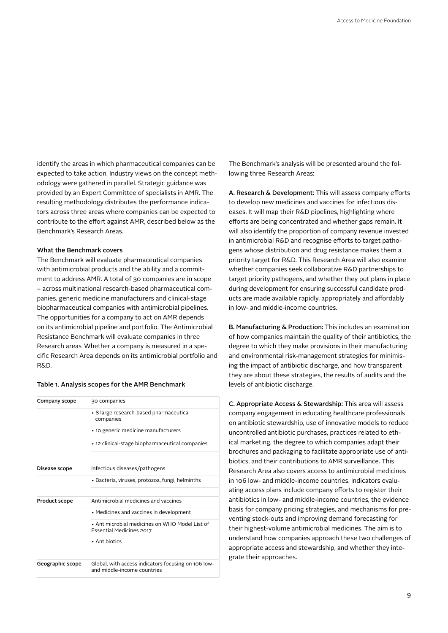identify the areas in which pharmaceutical companies can be expected to take action. Industry views on the concept methodology were gathered in parallel. Strategic guidance was provided by an Expert Committee of specialists in AMR. The resulting methodology distributes the performance indicators across three areas where companies can be expected to contribute to the effort against AMR, described below as the Benchmark's Research Areas.

# What the Benchmark covers

The Benchmark will evaluate pharmaceutical companies with antimicrobial products and the ability and a commitment to address AMR. A total of 30 companies are in scope – across multinational research-based pharmaceutical companies, generic medicine manufacturers and clinical-stage biopharmaceutical companies with antimicrobial pipelines. The opportunities for a company to act on AMR depends on its antimicrobial pipeline and portfolio. The Antimicrobial Resistance Benchmark will evaluate companies in three Research areas. Whether a company is measured in a specific Research Area depends on its antimicrobial portfolio and R&D.

#### Table 1. Analysis scopes for the AMR Benchmark

| Company scope    | 30 companies                                                                       |
|------------------|------------------------------------------------------------------------------------|
|                  | • 8 large research-based pharmaceutical<br>companies                               |
|                  | • 10 generic medicine manufacturers                                                |
|                  | • 12 clinical-stage biopharmaceutical companies                                    |
|                  |                                                                                    |
| Disease scope    | Infectious diseases/pathogens                                                      |
|                  | • Bacteria, viruses, protozoa, fungi, helminths                                    |
|                  |                                                                                    |
| Product scope    | Antimicrobial medicines and vaccines                                               |
|                  | • Medicines and vaccines in development                                            |
|                  | • Antimicrobial medicines on WHO Model List of<br><b>Essential Medicines 2017</b>  |
|                  | • Antibiotics                                                                      |
|                  |                                                                                    |
| Geographic scope | Global, with access indicators focusing on 106 low-<br>and middle-income countries |

The Benchmark's analysis will be presented around the following three Research Areas:

A. Research & Development: This will assess company efforts to develop new medicines and vaccines for infectious diseases. It will map their R&D pipelines, highlighting where efforts are being concentrated and whether gaps remain. It will also identify the proportion of company revenue invested in antimicrobial R&D and recognise efforts to target pathogens whose distribution and drug resistance makes them a priority target for R&D. This Research Area will also examine whether companies seek collaborative R&D partnerships to target priority pathogens, and whether they put plans in place during development for ensuring successful candidate products are made available rapidly, appropriately and affordably in low- and middle-income countries.

B. Manufacturing & Production: This includes an examination of how companies maintain the quality of their antibiotics, the degree to which they make provisions in their manufacturing and environmental risk-management strategies for minimising the impact of antibiotic discharge, and how transparent they are about these strategies, the results of audits and the levels of antibiotic discharge.

C. Appropriate Access & Stewardship: This area will assess company engagement in educating healthcare professionals on antibiotic stewardship, use of innovative models to reduce uncontrolled antibiotic purchases, practices related to ethical marketing, the degree to which companies adapt their brochures and packaging to facilitate appropriate use of antibiotics, and their contributions to AMR surveillance. This Research Area also covers access to antimicrobial medicines in 106 low- and middle-income countries. Indicators evaluating access plans include company efforts to register their antibiotics in low- and middle-income countries, the evidence basis for company pricing strategies, and mechanisms for preventing stock-outs and improving demand forecasting for their highest-volume antimicrobial medicines. The aim is to understand how companies approach these two challenges of appropriate access and stewardship, and whether they integrate their approaches.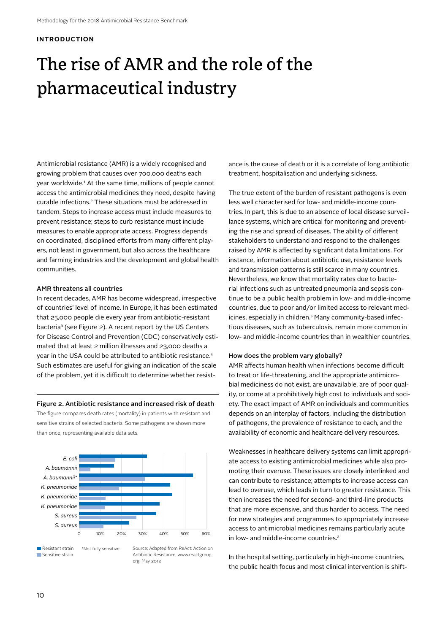# **INTRODUCTION**

# The rise of AMR and the role of the pharmaceutical industry

Antimicrobial resistance (AMR) is a widely recognised and growing problem that causes over 700,000 deaths each year worldwide.1 At the same time, millions of people cannot access the antimicrobial medicines they need, despite having curable infections.2 These situations must be addressed in tandem. Steps to increase access must include measures to prevent resistance; steps to curb resistance must include measures to enable appropriate access. Progress depends on coordinated, disciplined efforts from many different players, not least in government, but also across the healthcare and farming industries and the development and global health communities.

#### AMR threatens all countries

In recent decades, AMR has become widespread, irrespective of countries' level of income. In Europe, it has been estimated that 25,000 people die every year from antibiotic-resistant bacteria<sup>3</sup> (see Figure 2). A recent report by the US Centers for Disease Control and Prevention (CDC) conservatively estimated that at least 2 million illnesses and 23,000 deaths a year in the USA could be attributed to antibiotic resistance.4 Such estimates are useful for giving an indication of the scale of the problem, yet it is difficult to determine whether resist-

# Figure 2. Antibiotic resistance and increased risk of death

The figure compares death rates (mortality) in patients with resistant and sensitive strains of selected bacteria. Some pathogens are shown more than once, representing available data sets.



ance is the cause of death or it is a correlate of long antibiotic treatment, hospitalisation and underlying sickness.

The true extent of the burden of resistant pathogens is even less well characterised for low- and middle-income countries. In part, this is due to an absence of local disease surveillance systems, which are critical for monitoring and preventing the rise and spread of diseases. The ability of different stakeholders to understand and respond to the challenges raised by AMR is affected by significant data limitations. For instance, information about antibiotic use, resistance levels and transmission patterns is still scarce in many countries. Nevertheless, we know that mortality rates due to bacterial infections such as untreated pneumonia and sepsis continue to be a public health problem in low- and middle-income countries, due to poor and/or limited access to relevant medicines, especially in children.<sup>5</sup> Many community-based infectious diseases, such as tuberculosis, remain more common in low- and middle-income countries than in wealthier countries.

#### How does the problem vary globally?

AMR affects human health when infections become difficult to treat or life-threatening, and the appropriate antimicrobial mediciness do not exist, are unavailable, are of poor quality, or come at a prohibitively high cost to individuals and society. The exact impact of AMR on individuals and communities depends on an interplay of factors, including the distribution of pathogens, the prevalence of resistance to each, and the availability of economic and healthcare delivery resources.

Weaknesses in healthcare delivery systems can limit appropriate access to existing antimicrobial medicines while also promoting their overuse. These issues are closely interlinked and can contribute to resistance; attempts to increase access can lead to overuse, which leads in turn to greater resistance. This then increases the need for second- and third-line products that are more expensive, and thus harder to access. The need for new strategies and programmes to appropriately increase access to antimicrobial medicines remains particularly acute in low- and middle-income countries.<sup>2</sup>

In the hospital setting, particularly in high-income countries, the public health focus and most clinical intervention is shift-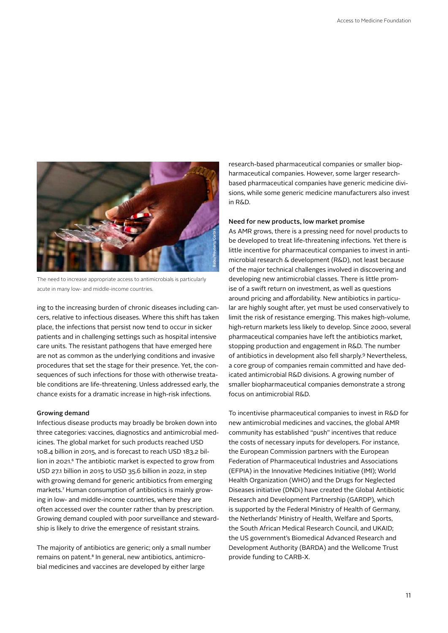

The need to increase appropriate access to antimicrobials is particularly acute in many low- and middle-income countries.

ing to the increasing burden of chronic diseases including cancers, relative to infectious diseases. Where this shift has taken place, the infections that persist now tend to occur in sicker patients and in challenging settings such as hospital intensive care units. The resistant pathogens that have emerged here are not as common as the underlying conditions and invasive procedures that set the stage for their presence. Yet, the consequences of such infections for those with otherwise treatable conditions are life-threatening. Unless addressed early, the chance exists for a dramatic increase in high-risk infections.

# Growing demand

Infectious disease products may broadly be broken down into three categories: vaccines, diagnostics and antimicrobial medicines. The global market for such products reached USD 108.4 billion in 2015, and is forecast to reach USD 183.2 billion in 2021.6 The antibiotic market is expected to grow from USD 27.1 billion in 2015 to USD 35.6 billion in 2022, in step with growing demand for generic antibiotics from emerging markets.7 Human consumption of antibiotics is mainly growing in low- and middle-income countries, where they are often accessed over the counter rather than by prescription. Growing demand coupled with poor surveillance and stewardship is likely to drive the emergence of resistant strains.

The majority of antibiotics are generic; only a small number remains on patent.<sup>8</sup> In general, new antibiotics, antimicrobial medicines and vaccines are developed by either large

research-based pharmaceutical companies or smaller biopharmaceutical companies. However, some larger researchbased pharmaceutical companies have generic medicine divisions, while some generic medicine manufacturers also invest in R&D.

## Need for new products, low market promise

As AMR grows, there is a pressing need for novel products to be developed to treat life-threatening infections. Yet there is little incentive for pharmaceutical companies to invest in antimicrobial research & development (R&D), not least because of the major technical challenges involved in discovering and developing new antimicrobial classes. There is little promise of a swift return on investment, as well as questions around pricing and affordability. New antibiotics in particular are highly sought after, yet must be used conservatively to limit the risk of resistance emerging. This makes high-volume, high-return markets less likely to develop. Since 2000, several pharmaceutical companies have left the antibiotics market, stopping production and engagement in R&D. The number of antibiotics in development also fell sharply.9 Nevertheless, a core group of companies remain committed and have dedicated antimicrobial R&D divisions. A growing number of smaller biopharmaceutical companies demonstrate a strong focus on antimicrobial R&D.

To incentivise pharmaceutical companies to invest in R&D for new antimicrobial medicines and vaccines, the global AMR community has established "push" incentives that reduce the costs of necessary inputs for developers. For instance, the European Commission partners with the European Federation of Pharmaceutical Industries and Associations (EFPIA) in the Innovative Medicines Initiative (IMI); World Health Organization (WHO) and the Drugs for Neglected Diseases initiative (DNDi) have created the Global Antibiotic Research and Development Partnership (GARDP), which is supported by the Federal Ministry of Health of Germany, the Netherlands' Ministry of Health, Welfare and Sports, the South African Medical Research Council, and UKAID; the US government's Biomedical Advanced Research and Development Authority (BARDA) and the Wellcome Trust provide funding to CARB-X.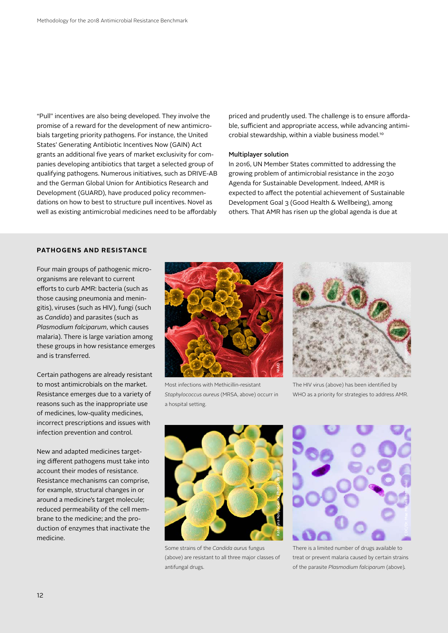"Pull" incentives are also being developed. They involve the promise of a reward for the development of new antimicrobials targeting priority pathogens. For instance, the United States' Generating Antibiotic Incentives Now (GAIN) Act grants an additional five years of market exclusivity for companies developing antibiotics that target a selected group of qualifying pathogens. Numerous initiatives, such as DRIVE-AB and the German Global Union for Antibiotics Research and Development (GUARD), have produced policy recommendations on how to best to structure pull incentives. Novel as well as existing antimicrobial medicines need to be affordably

priced and prudently used. The challenge is to ensure affordable, sufficient and appropriate access, while advancing antimicrobial stewardship, within a viable business model.<sup>10</sup>

# Multiplayer solution

In 2016, UN Member States committed to addressing the growing problem of antimicrobial resistance in the 2030 Agenda for Sustainable Development. Indeed, AMR is expected to affect the potential achievement of Sustainable Development Goal 3 (Good Health & Wellbeing), among others. That AMR has risen up the global agenda is due at

# **PATHOGENS AND RESISTANCE**

Four main groups of pathogenic microorganisms are relevant to current efforts to curb AMR: bacteria (such as those causing pneumonia and meningitis), viruses (such as HIV), fungi (such as *Candida*) and parasites (such as *Plasmodium falciparum*, which causes malaria). There is large variation among these groups in how resistance emerges and is transferred.

Certain pathogens are already resistant to most antimicrobials on the market. Resistance emerges due to a variety of reasons such as the inappropriate use of medicines, low-quality medicines, incorrect prescriptions and issues with infection prevention and control.

New and adapted medicines targeting different pathogens must take into account their modes of resistance. Resistance mechanisms can comprise, for example, structural changes in or around a medicine's target molecule; reduced permeability of the cell membrane to the medicine; and the production of enzymes that inactivate the medicine.



Most infections with Methicillin-resistant *Staphylococcus aureus* (MRSA, above) occurr in a hospital setting.



The HIV virus (above) has been identified by WHO as a priority for strategies to address AMR.



Some strains of the *Candida aurus* fungus (above) are resistant to all three major classes of antifungal drugs.



There is a limited number of drugs available to treat or prevent malaria caused by certain strains of the parasite *Plasmodium falciparum* (above)*.*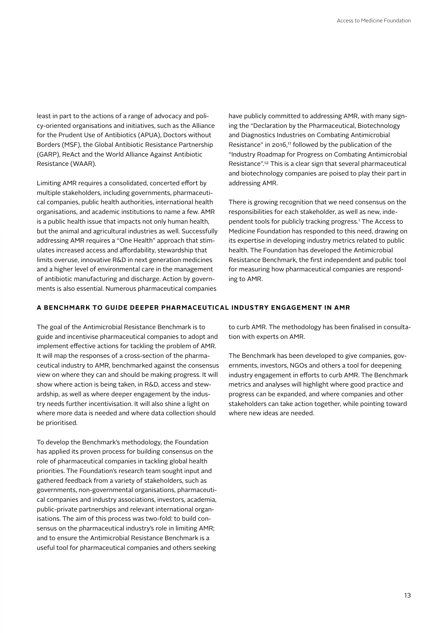least in part to the actions of a range of advocacy and policy-oriented organisations and initiatives, such as the Alliance for the Prudent Use of Antibiotics (APUA), Doctors without Borders (MSF), the Global Antibiotic Resistance Partnership (GARP), ReAct and the World Alliance Against Antibiotic Resistance (WAAR).

Limiting AMR requires a consolidated, concerted effort by multiple stakeholders, including governments, pharmaceutical companies, public health authorities, international health organisations, and academic institutions to name a few. AMR is a public health issue that impacts not only human health, but the animal and agricultural industries as well. Successfully addressing AMR requires a "One Health" approach that stimulates increased access and affordability, stewardship that limits overuse, innovative R&D in next generation medicines and a higher level of environmental care in the management of antibiotic manufacturing and discharge. Action by governments is also essential. Numerous pharmaceutical companies

have publicly committed to addressing AMR, with many signing the "Declaration by the Pharmaceutical, Biotechnology and Diagnostics Industries on Combating Antimicrobial Resistance" in 2016,<sup>11</sup> followed by the publication of the "Industry Roadmap for Progress on Combating Antimicrobial Resistance".12 This is a clear sign that several pharmaceutical and biotechnology companies are poised to play their part in addressing AMR.

There is growing recognition that we need consensus on the responsibilities for each stakeholder, as well as new, independent tools for publicly tracking progress.1 The Access to Medicine Foundation has responded to this need, drawing on its expertise in developing industry metrics related to public health. The Foundation has developed the Antimicrobial Resistance Benchmark, the first independent and public tool for measuring how pharmaceutical companies are responding to AMR.

# **A BENCHMARK TO GUIDE DEEPER PHARMACEUTICAL INDUSTRY ENGAGEMENT IN AMR**

The goal of the Antimicrobial Resistance Benchmark is to guide and incentivise pharmaceutical companies to adopt and implement effective actions for tackling the problem of AMR. It will map the responses of a cross-section of the pharmaceutical industry to AMR, benchmarked against the consensus view on where they can and should be making progress. It will show where action is being taken, in R&D, access and stewardship, as well as where deeper engagement by the industry needs further incentivisation. It will also shine a light on where more data is needed and where data collection should be prioritised.

To develop the Benchmark's methodology, the Foundation has applied its proven process for building consensus on the role of pharmaceutical companies in tackling global health priorities. The Foundation's research team sought input and gathered feedback from a variety of stakeholders, such as governments, non-governmental organisations, pharmaceutical companies and industry associations, investors, academia, public-private partnerships and relevant international organisations. The aim of this process was two-fold: to build consensus on the pharmaceutical industry's role in limiting AMR; and to ensure the Antimicrobial Resistance Benchmark is a useful tool for pharmaceutical companies and others seeking

to curb AMR. The methodology has been finalised in consultation with experts on AMR.

The Benchmark has been developed to give companies, governments, investors, NGOs and others a tool for deepening industry engagement in efforts to curb AMR. The Benchmark metrics and analyses will highlight where good practice and progress can be expanded, and where companies and other stakeholders can take action together, while pointing toward where new ideas are needed.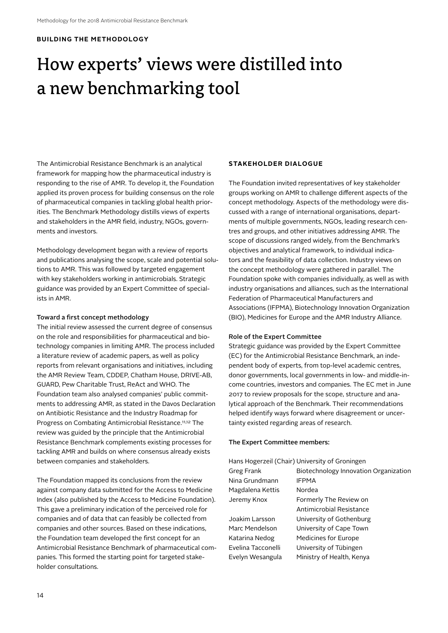# **BUILDING THE METHODOLOGY**

# How experts' views were distilled into a new benchmarking tool

The Antimicrobial Resistance Benchmark is an analytical framework for mapping how the pharmaceutical industry is responding to the rise of AMR. To develop it, the Foundation applied its proven process for building consensus on the role of pharmaceutical companies in tackling global health priorities. The Benchmark Methodology distills views of experts and stakeholders in the AMR field, industry, NGOs, governments and investors.

Methodology development began with a review of reports and publications analysing the scope, scale and potential solutions to AMR. This was followed by targeted engagement with key stakeholders working in antimicrobials. Strategic guidance was provided by an Expert Committee of specialists in AMR.

# Toward a first concept methodology

The initial review assessed the current degree of consensus on the role and responsibilities for pharmaceutical and biotechnology companies in limiting AMR. The process included a literature review of academic papers, as well as policy reports from relevant organisations and initiatives, including the AMR Review Team, CDDEP, Chatham House, DRIVE-AB, GUARD, Pew Charitable Trust, ReAct and WHO. The Foundation team also analysed companies' public commitments to addressing AMR, as stated in the Davos Declaration on Antibiotic Resistance and the Industry Roadmap for Progress on Combating Antimicrobial Resistance.11,12 The review was guided by the principle that the Antimicrobial Resistance Benchmark complements existing processes for tackling AMR and builds on where consensus already exists between companies and stakeholders.

The Foundation mapped its conclusions from the review against company data submitted for the Access to Medicine Index (also published by the Access to Medicine Foundation). This gave a preliminary indication of the perceived role for companies and of data that can feasibly be collected from companies and other sources. Based on these indications, the Foundation team developed the first concept for an Antimicrobial Resistance Benchmark of pharmaceutical companies. This formed the starting point for targeted stakeholder consultations.

# **STAKEHOLDER DIALOGUE**

The Foundation invited representatives of key stakeholder groups working on AMR to challenge different aspects of the concept methodology. Aspects of the methodology were discussed with a range of international organisations, departments of multiple governments, NGOs, leading research centres and groups, and other initiatives addressing AMR. The scope of discussions ranged widely, from the Benchmark's objectives and analytical framework, to individual indicators and the feasibility of data collection. Industry views on the concept methodology were gathered in parallel. The Foundation spoke with companies individually, as well as with industry organisations and alliances, such as the International Federation of Pharmaceutical Manufacturers and Associations (IFPMA), Biotechnology Innovation Organization (BIO), Medicines for Europe and the AMR Industry Alliance.

### Role of the Expert Committee

Strategic guidance was provided by the Expert Committee (EC) for the Antimicrobial Resistance Benchmark, an independent body of experts, from top-level academic centres, donor governments, local governments in low- and middle-income countries, investors and companies. The EC met in June 2017 to review proposals for the scope, structure and analytical approach of the Benchmark. Their recommendations helped identify ways forward where disagreement or uncertainty existed regarding areas of research.

# The Expert Committee members:

Evelina Tacconelli University of Tübingen Evelyn Wesangula Ministry of Health, Kenya

Hans Hogerzeil (Chair) University of Groningen Greg Frank Biotechnology Innovation Organization Nina Grundmann IFPMA Magdalena Kettis Nordea Jeremy Knox Formerly The Review on Antimicrobial Resistance Joakim Larsson University of Gothenburg Marc Mendelson University of Cape Town Katarina Nedog Medicines for Europe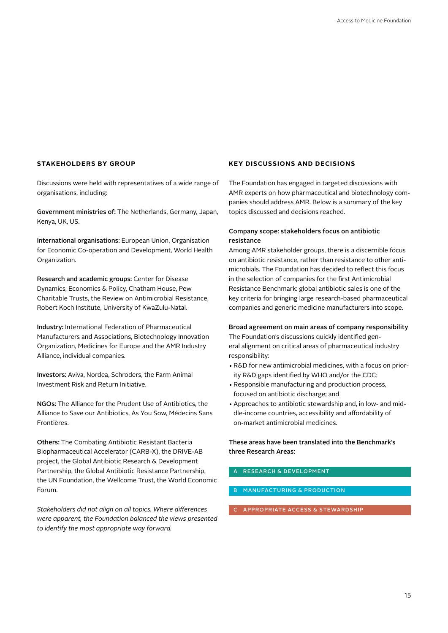# **STAKEHOLDERS BY GROUP**

Discussions were held with representatives of a wide range of organisations, including:

Government ministries of: The Netherlands, Germany, Japan, Kenya, UK, US.

International organisations: European Union, Organisation for Economic Co-operation and Development, World Health Organization.

Research and academic groups: Center for Disease Dynamics, Economics & Policy, Chatham House, Pew Charitable Trusts, the Review on Antimicrobial Resistance, Robert Koch Institute, University of KwaZulu-Natal.

Industry: International Federation of Pharmaceutical Manufacturers and Associations, Biotechnology Innovation Organization, Medicines for Europe and the AMR Industry Alliance, individual companies.

Investors: Aviva, Nordea, Schroders, the Farm Animal Investment Risk and Return Initiative.

NGOs: The Alliance for the Prudent Use of Antibiotics, the Alliance to Save our Antibiotics, As You Sow, Médecins Sans Frontières.

Others: The Combating Antibiotic Resistant Bacteria Biopharmaceutical Accelerator (CARB-X), the DRIVE-AB project, the Global Antibiotic Research & Development Partnership, the Global Antibiotic Resistance Partnership, the UN Foundation, the Wellcome Trust, the World Economic Forum.

*Stakeholders did not align on all topics. Where differences were apparent, the Foundation balanced the views presented to identify the most appropriate way forward.*

# **KEY DISCUSSIONS AND DECISIONS**

The Foundation has engaged in targeted discussions with AMR experts on how pharmaceutical and biotechnology companies should address AMR. Below is a summary of the key topics discussed and decisions reached.

# Company scope: stakeholders focus on antibiotic resistance

Among AMR stakeholder groups, there is a discernible focus on antibiotic resistance, rather than resistance to other antimicrobials. The Foundation has decided to reflect this focus in the selection of companies for the first Antimicrobial Resistance Benchmark: global antibiotic sales is one of the key criteria for bringing large research-based pharmaceutical companies and generic medicine manufacturers into scope.

# Broad agreement on main areas of company responsibility

The Foundation's discussions quickly identified general alignment on critical areas of pharmaceutical industry responsibility:

- R&D for new antimicrobial medicines, with a focus on priority R&D gaps identified by WHO and/or the CDC;
- Responsible manufacturing and production process, focused on antibiotic discharge; and
- Approaches to antibiotic stewardship and, in low- and middle-income countries, accessibility and affordability of on-market antimicrobial medicines.

# These areas have been translated into the Benchmark's three Research Areas:

#### RESEARCH & DEVELOPMENT

- B MANUFACTURING & PRODUCTION
- C APPROPRIATE ACCESS & STEWARDSHIP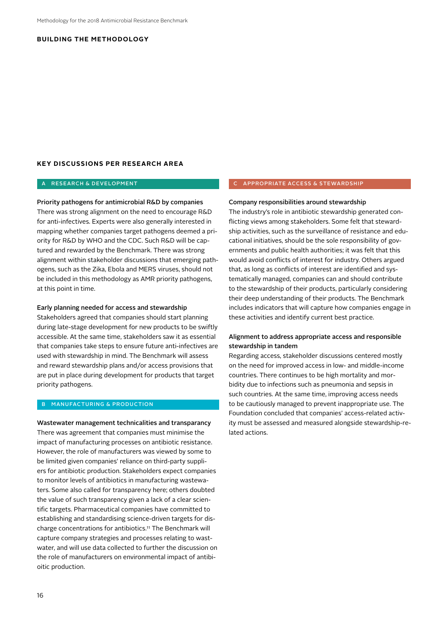# **BUILDING THE METHODOLOGY**

## **KEY DISCUSSIONS PER RESEARCH AREA**

### A RESEARCH & DEVELOPMENT

## Priority pathogens for antimicrobial R&D by companies

There was strong alignment on the need to encourage R&D for anti-infectives. Experts were also generally interested in mapping whether companies target pathogens deemed a priority for R&D by WHO and the CDC. Such R&D will be captured and rewarded by the Benchmark. There was strong alignment within stakeholder discussions that emerging pathogens, such as the Zika, Ebola and MERS viruses, should not be included in this methodology as AMR priority pathogens, at this point in time.

#### Early planning needed for access and stewardship

Stakeholders agreed that companies should start planning during late-stage development for new products to be swiftly accessible. At the same time, stakeholders saw it as essential that companies take steps to ensure future anti-infectives are used with stewardship in mind. The Benchmark will assess and reward stewardship plans and/or access provisions that are put in place during development for products that target priority pathogens.

# B MANUFACTURING & PRODUCTION

Wastewater management technicalities and transparancy There was agreement that companies must minimise the impact of manufacturing processes on antibiotic resistance. However, the role of manufacturers was viewed by some to be limited given companies' reliance on third-party suppliers for antibiotic production. Stakeholders expect companies to monitor levels of antibiotics in manufacturing wastewaters. Some also called for transparency here; others doubted the value of such transparency given a lack of a clear scientific targets. Pharmaceutical companies have committed to establishing and standardising science-driven targets for discharge concentrations for antibiotics.11 The Benchmark will capture company strategies and processes relating to wastwater, and will use data collected to further the discussion on the role of manufacturers on environmental impact of antibioitic production.

### C APPROPRIATE ACCESS & STEWARDSHIP

#### Company responsibilities around stewardship

The industry's role in antibiotic stewardship generated conflicting views among stakeholders. Some felt that stewardship activities, such as the surveillance of resistance and educational initiatives, should be the sole responsibility of governments and public health authorities; it was felt that this would avoid conflicts of interest for industry. Others argued that, as long as conflicts of interest are identified and systematically managed, companies can and should contribute to the stewardship of their products, particularly considering their deep understanding of their products. The Benchmark includes indicators that will capture how companies engage in these activities and identify current best practice.

# Alignment to address appropriate access and responsible stewardship in tandem

Regarding access, stakeholder discussions centered mostly on the need for improved access in low- and middle-income countries. There continues to be high mortality and morbidity due to infections such as pneumonia and sepsis in such countries. At the same time, improving access needs to be cautiously managed to prevent inappropriate use. The Foundation concluded that companies' access-related activity must be assessed and measured alongside stewardship-related actions.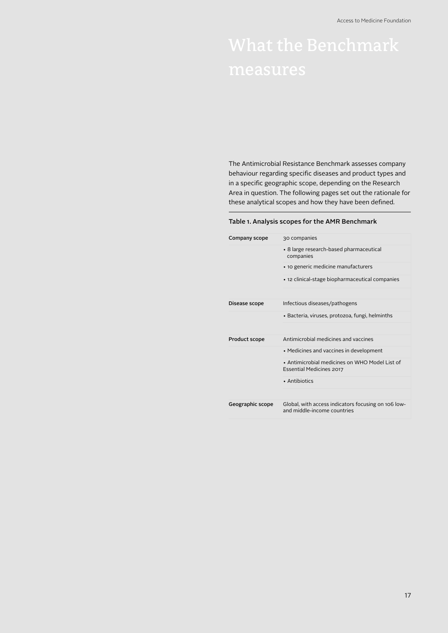The Antimicrobial Resistance Benchmark assesses company behaviour regarding specific diseases and product types and in a specific geographic scope, depending on the Research Area in question. The following pages set out the rationale for these analytical scopes and how they have been defined.

# Table 1. Analysis scopes for the AMR Benchmark

| Company scope    | 30 companies                                                                       |
|------------------|------------------------------------------------------------------------------------|
|                  | • 8 large research-based pharmaceutical<br>companies                               |
|                  | • 10 generic medicine manufacturers                                                |
|                  | • 12 clinical-stage biopharmaceutical companies                                    |
|                  |                                                                                    |
| Disease scope    | Infectious diseases/pathogens                                                      |
|                  | · Bacteria, viruses, protozoa, fungi, helminths                                    |
|                  |                                                                                    |
| Product scope    | Antimicrobial medicines and vaccines                                               |
|                  | • Medicines and vaccines in development                                            |
|                  | . Antimicrobial medicines on WHO Model List of<br><b>Essential Medicines 2017</b>  |
|                  | • Antibiotics                                                                      |
|                  |                                                                                    |
| Geographic scope | Global, with access indicators focusing on 106 low-<br>and middle-income countries |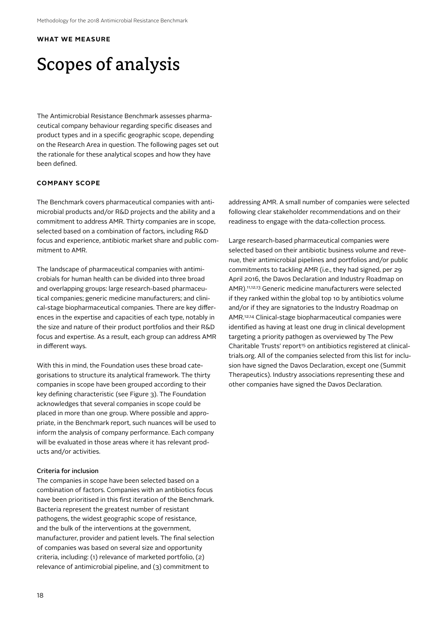# **WHAT WE MEASURE**

# Scopes of analysis

The Antimicrobial Resistance Benchmark assesses pharmaceutical company behaviour regarding specific diseases and product types and in a specific geographic scope, depending on the Research Area in question. The following pages set out the rationale for these analytical scopes and how they have been defined.

# **COMPANY SCOPE**

The Benchmark covers pharmaceutical companies with antimicrobial products and/or R&D projects and the ability and a commitment to address AMR. Thirty companies are in scope, selected based on a combination of factors, including R&D focus and experience, antibiotic market share and public commitment to AMR.

The landscape of pharmaceutical companies with antimicrobials for human health can be divided into three broad and overlapping groups: large research-based pharmaceutical companies; generic medicine manufacturers; and clinical-stage biopharmaceutical companies. There are key differences in the expertise and capacities of each type, notably in the size and nature of their product portfolios and their R&D focus and expertise. As a result, each group can address AMR in different ways.

With this in mind, the Foundation uses these broad categorisations to structure its analytical framework. The thirty companies in scope have been grouped according to their key defining characteristic (see Figure 3). The Foundation acknowledges that several companies in scope could be placed in more than one group. Where possible and appropriate, in the Benchmark report, such nuances will be used to inform the analysis of company performance. Each company will be evaluated in those areas where it has relevant products and/or activities.

# Criteria for inclusion

The companies in scope have been selected based on a combination of factors. Companies with an antibiotics focus have been prioritised in this first iteration of the Benchmark. Bacteria represent the greatest number of resistant pathogens, the widest geographic scope of resistance, and the bulk of the interventions at the government, manufacturer, provider and patient levels. The final selection of companies was based on several size and opportunity criteria, including: (1) relevance of marketed portfolio, (2) relevance of antimicrobial pipeline, and (3) commitment to

addressing AMR. A small number of companies were selected following clear stakeholder recommendations and on their readiness to engage with the data-collection process.

Large research-based pharmaceutical companies were selected based on their antibiotic business volume and revenue, their antimicrobial pipelines and portfolios and/or public commitments to tackling AMR (i.e., they had signed, per 29 April 2016, the Davos Declaration and Industry Roadmap on AMR).11,12,13 Generic medicine manufacturers were selected if they ranked within the global top 10 by antibiotics volume and/or if they are signatories to the Industry Roadmap on AMR.12,14 Clinical-stage biopharmaceutical companies were identified as having at least one drug in clinical development targeting a priority pathogen as overviewed by The Pew Charitable Trusts' report<sup>15</sup> on antibiotics registered at clinicaltrials.org. All of the companies selected from this list for inclusion have signed the Davos Declaration, except one (Summit Therapeutics). Industry associations representing these and other companies have signed the Davos Declaration.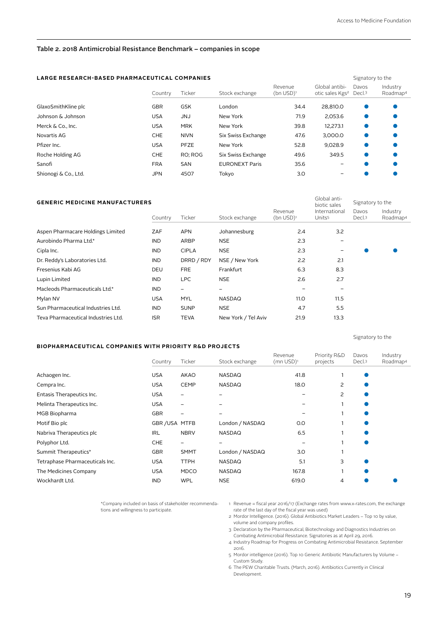Signatory to the

# Table 2. 2018 Antimicrobial Resistance Benchmark – companies in scope

# **LARGE RESEARCH-BASED PHARMACEUTICAL COMPANIES Signatory of the Signatory to the**

|                      | Country    | Ticker      | Stock exchange        | Revenue<br>(bn USD) <sup>1</sup> | Global antibi-<br>otic sales Kgs <sup>2</sup> | Davos<br>Decl. <sup>3</sup> | Industry<br>Roadmap <sup>4</sup> |
|----------------------|------------|-------------|-----------------------|----------------------------------|-----------------------------------------------|-----------------------------|----------------------------------|
| GlaxoSmithKline plc  | <b>GBR</b> | <b>GSK</b>  | London                | 34.4                             | 28,810.0                                      |                             |                                  |
| Johnson & Johnson    | <b>USA</b> | <b>JNJ</b>  | New York              | 71.9                             | 2.053.6                                       |                             |                                  |
| Merck & Co., Inc.    | <b>USA</b> | <b>MRK</b>  | New York              | 39.8                             | 12,273.1                                      |                             |                                  |
| Novartis AG          | <b>CHE</b> | <b>NIVN</b> | Six Swiss Exchange    | 47.6                             | 3.000.0                                       |                             |                                  |
| Pfizer Inc.          | <b>USA</b> | PFZE        | New York              | 52.8                             | 9.028.9                                       |                             |                                  |
| Roche Holding AG     | <b>CHE</b> | RO: ROG     | Six Swiss Exchange    | 49.6                             | 349.5                                         |                             |                                  |
| Sanofi               | <b>FRA</b> | <b>SAN</b>  | <b>EURONEXT Paris</b> | 35.6                             |                                               |                             |                                  |
| Shionogi & Co., Ltd. | <b>JPN</b> | 4507        | Tokvo                 | 3.0                              | $\overline{\phantom{0}}$                      |                             |                                  |

| <b>GENERIC MEDICINE MANUFACTURERS</b> |            | Global anti-<br>biotic sales | Signatory to the    |                            |                                     |                             |                                  |
|---------------------------------------|------------|------------------------------|---------------------|----------------------------|-------------------------------------|-----------------------------|----------------------------------|
|                                       | Country    | Ticker                       | Stock exchange      | Revenue<br>$(bn \, USD)^1$ | International<br>Units <sup>5</sup> | Davos<br>Decl. <sup>3</sup> | Industry<br>Roadmap <sup>4</sup> |
| Aspen Pharmacare Holdings Limited     | ZAF        | <b>APN</b>                   | Johannesburg        | 2.4                        | 3.2                                 |                             |                                  |
| Aurobindo Pharma Ltd.*                | <b>IND</b> | ARBP                         | <b>NSE</b>          | 2.3                        | $\overline{\phantom{0}}$            |                             |                                  |
| Cipla Inc.                            | <b>IND</b> | <b>CIPLA</b>                 | <b>NSE</b>          | 2.3                        |                                     |                             |                                  |
| Dr. Reddy's Laboratories Ltd.         | <b>IND</b> | DRRD / RDY                   | NSE / New York      | 2.2                        | 2.1                                 |                             |                                  |
| Fresenius Kabi AG                     | <b>DEU</b> | <b>FRE</b>                   | Frankfurt           | 6.3                        | 8.3                                 |                             |                                  |
| Lupin Limited                         | <b>IND</b> | <b>LPC</b>                   | <b>NSE</b>          | 2.6                        | 2.7                                 |                             |                                  |
| Macleods Pharmaceuticals Ltd.*        | <b>IND</b> |                              |                     |                            |                                     |                             |                                  |
| Mylan NV                              | <b>USA</b> | <b>MYL</b>                   | <b>NASDAQ</b>       | <b>11.0</b>                | 11.5                                |                             |                                  |
| Sun Pharmaceutical Industries Ltd.    | <b>IND</b> | <b>SUNP</b>                  | <b>NSE</b>          | 4.7                        | 5.5                                 |                             |                                  |
| Teva Pharmaceutical Industries Ltd.   | <b>ISR</b> | <b>TEVA</b>                  | New York / Tel Aviv | 21.9                       | 13.3                                |                             |                                  |

### **BIOPHARMACEUTICAL COMPANIES WITH PRIORITY R&D PROJECTS**

|                                 | Country        | Ticker                   | Stock exchange  | Revenue<br>(mn USD) <sup>1</sup> | Priority R&D<br>projects | Davos<br>Decl.3 | Industry<br>Roadmap <sup>4</sup> |
|---------------------------------|----------------|--------------------------|-----------------|----------------------------------|--------------------------|-----------------|----------------------------------|
| Achaogen Inc.                   | <b>USA</b>     | AKAO                     | <b>NASDAQ</b>   | 41.8                             |                          |                 |                                  |
| Cempra Inc.                     | <b>USA</b>     | <b>CEMP</b>              | <b>NASDAQ</b>   | 18.0                             | 2                        |                 |                                  |
| Entasis Therapeutics Inc.       | <b>USA</b>     | -                        | -               |                                  | 2                        |                 |                                  |
| Melinta Therapeutics Inc.       | <b>USA</b>     |                          |                 |                                  |                          |                 |                                  |
| MGB Biopharma                   | <b>GBR</b>     |                          |                 |                                  |                          |                 |                                  |
| Motif Bio plc                   | GBR / USA MTFB |                          | London / NASDAQ | O.O                              |                          |                 |                                  |
| Nabriva Therapeutics plc        | <b>IRL</b>     | <b>NBRV</b>              | <b>NASDAQ</b>   | 6.5                              |                          |                 |                                  |
| Polyphor Ltd.                   | <b>CHE</b>     | $\overline{\phantom{0}}$ | -               |                                  |                          |                 |                                  |
| Summit Therapeutics*            | GBR            | <b>SMMT</b>              | London / NASDAQ | 3.0                              |                          |                 |                                  |
| Tetraphase Pharmaceuticals Inc. | <b>USA</b>     | <b>TTPH</b>              | <b>NASDAQ</b>   | 5.1                              | 3                        |                 |                                  |
| The Medicines Company           | <b>USA</b>     | <b>MDCO</b>              | <b>NASDAQ</b>   | 167.8                            |                          |                 |                                  |
| Wockhardt Ltd.                  | <b>IND</b>     | <b>WPL</b>               | <b>NSE</b>      | 619.0                            | 4                        |                 |                                  |

\*Company included on basis of stakeholder recommendations and willingness to participate.

1 Revenue = fiscal year 2016/17 (Exchange rates from www.x-rates.com, the exchange rate of the last day of the fiscal year was used)

2 Mordor Intelligence. (2016). Global Antibiotics Market Leaders – Top 10 by value, volume and company profiles.

3 Declaration by the Pharmaceutical, Biotechnology and Diagnostics Industries on Combating Antimicrobial Resistance. Signatories as at April 29, 2016.

4 Industry Roadmap for Progress on Combating Antimicrobial Resistance. September 2016.

5 Mordor intelligence (2016). Top 10 Generic Antibiotic Manufacturers by Volume – Custom Study.

6 The PEW Charitable Trusts. (March, 2016). Antibiotics Currently in Clinical Development.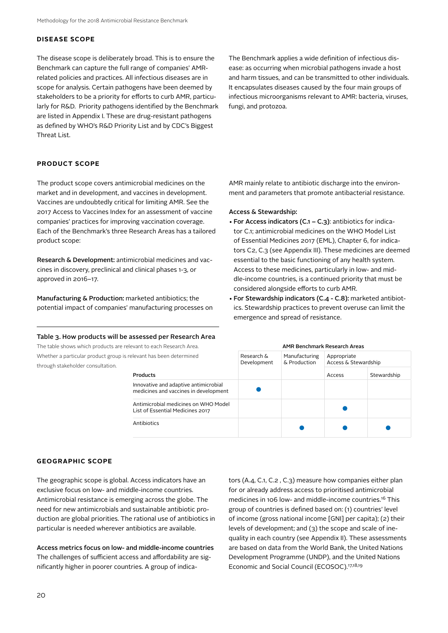# **DISEASE SCOPE**

The disease scope is deliberately broad. This is to ensure the Benchmark can capture the full range of companies' AMRrelated policies and practices. All infectious diseases are in scope for analysis. Certain pathogens have been deemed by stakeholders to be a priority for efforts to curb AMR, particularly for R&D. Priority pathogens identified by the Benchmark are listed in Appendix I. These are drug-resistant pathogens as defined by WHO's R&D Priority List and by CDC's Biggest Threat List.

The Benchmark applies a wide definition of infectious disease: as occurring when microbial pathogens invade a host and harm tissues, and can be transmitted to other individuals. It encapsulates diseases caused by the four main groups of infectious microorganisms relevant to AMR: bacteria, viruses, fungi, and protozoa.

# **PRODUCT SCOPE**

The product scope covers antimicrobial medicines on the market and in development, and vaccines in development. Vaccines are undoubtedly critical for limiting AMR. See the 2017 Access to Vaccines Index for an assessment of vaccine companies' practices for improving vaccination coverage. Each of the Benchmark's three Research Areas has a tailored product scope:

Research & Development: antimicrobial medicines and vaccines in discovery, preclinical and clinical phases 1-3, or approved in 2016–17.

Manufacturing & Production: marketed antibiotics; the potential impact of companies' manufacturing processes on AMR mainly relate to antibiotic discharge into the environment and parameters that promote antibacterial resistance.

# Access & Stewardship:

- For Access indicators (C.1 C.3): antibiotics for indicator C.1; antimicrobial medicines on the WHO Model List of Essential Medicines 2017 (EML), Chapter 6, for indicators C2, C.3 (see Appendix III). These medicines are deemed essential to the basic functioning of any health system. Access to these medicines, particularly in low- and middle-income countries, is a continued priority that must be considered alongside efforts to curb AMR.
- For Stewardship indicators (C.4 C.8): marketed antibiotics. Stewardship practices to prevent overuse can limit the emergence and spread of resistance.

AMR Benchmark Research Areas

#### Table 3. How products will be assessed per Research Area

The table shows which products are relevant to each Research Area. Whether a particular product group is rele through stakeholder consultation.

| levant has been determined                                                     | Research &<br>Development | Manufacturing<br>& Production | Appropriate<br>Access & Stewardship |             |  |
|--------------------------------------------------------------------------------|---------------------------|-------------------------------|-------------------------------------|-------------|--|
| <b>Products</b>                                                                |                           |                               | Access                              | Stewardship |  |
| Innovative and adaptive antimicrobial<br>medicines and vaccines in development |                           |                               |                                     |             |  |
| Antimicrobial medicines on WHO Model<br>List of Essential Medicines 2017       |                           |                               |                                     |             |  |
| Antibiotics                                                                    |                           |                               |                                     |             |  |

#### **GEOGRAPHIC SCOPE**

The geographic scope is global. Access indicators have an exclusive focus on low- and middle-income countries. Antimicrobial resistance is emerging across the globe. The need for new antimicrobials and sustainable antibiotic production are global priorities. The rational use of antibiotics in particular is needed wherever antibiotics are available.

Access metrics focus on low- and middle-income countries The challenges of sufficient access and affordability are significantly higher in poorer countries. A group of indicators (A.4, C.1, C.2 , C.3) measure how companies either plan for or already address access to prioritised antimicrobial medicines in 106 low- and middle-income countries.16 This group of countries is defined based on: (1) countries' level of income (gross national income [GNI] per capita); (2) their levels of development; and (3) the scope and scale of inequality in each country (see Appendix II). These assessments are based on data from the World Bank, the United Nations Development Programme (UNDP), and the United Nations Economic and Social Council (ECOSOC).17,18,19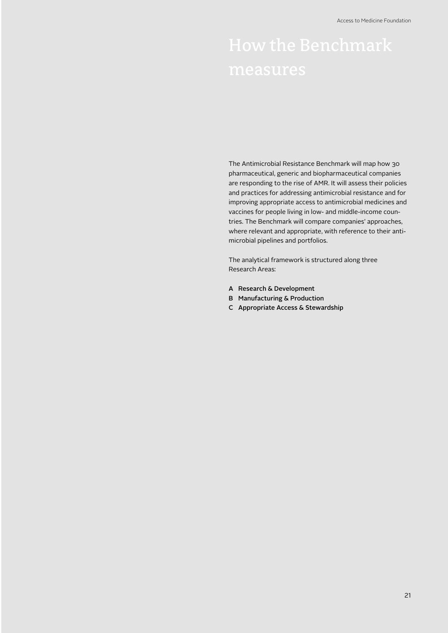The Antimicrobial Resistance Benchmark will map how 30 pharmaceutical, generic and biopharmaceutical companies are responding to the rise of AMR. It will assess their policies and practices for addressing antimicrobial resistance and for improving appropriate access to antimicrobial medicines and vaccines for people living in low- and middle-income countries. The Benchmark will compare companies' approaches, where relevant and appropriate, with reference to their antimicrobial pipelines and portfolios.

The analytical framework is structured along three Research Areas:

- A Research & Development
- B Manufacturing & Production
- C Appropriate Access & Stewardship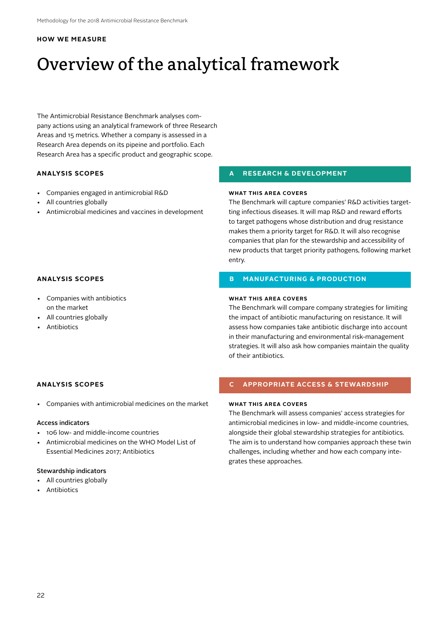# **HOW WE MEASURE**

# Overview of the analytical framework

The Antimicrobial Resistance Benchmark analyses company actions using an analytical framework of three Research Areas and 15 metrics. Whether a company is assessed in a Research Area depends on its pipeine and portfolio. Each Research Area has a specific product and geographic scope.

- Companies engaged in antimicrobial R&D
- All countries globally
- Antimicrobial medicines and vaccines in development

# **ANALYSIS SCOPES A RESEARCH & DEVELOPMENT**

# **WHAT THIS AREA COVERS**

The Benchmark will capture companies' R&D activities targetting infectious diseases. It will map R&D and reward efforts to target pathogens whose distribution and drug resistance makes them a priority target for R&D. It will also recognise companies that plan for the stewardship and accessibility of new products that target priority pathogens, following market entry.

- Companies with antibiotics on the market
- All countries globally
- **Antibiotics**

# **ANALYSIS SCOPES B MANUFACTURING & PRODUCTION**

## **WHAT THIS AREA COVERS**

The Benchmark will compare company strategies for limiting the impact of antibiotic manufacturing on resistance. It will assess how companies take antibiotic discharge into account in their manufacturing and environmental risk-management strategies. It will also ask how companies maintain the quality of their antibiotics.

• Companies with antimicrobial medicines on the market

# Access indicators

- 106 low- and middle-income countries
- Antimicrobial medicines on the WHO Model List of Essential Medicines 2017; Antibiotics

#### Stewardship indicators

- All countries globally
- **Antibiotics**

# **ANALYSIS SCOPES C APPROPRIATE ACCESS & STEWARDSHIP**

### **WHAT THIS AREA COVERS**

The Benchmark will assess companies' access strategies for antimicrobial medicines in low- and middle-income countries, alongside their global stewardship strategies for antibiotics. The aim is to understand how companies approach these twin challenges, including whether and how each company integrates these approaches.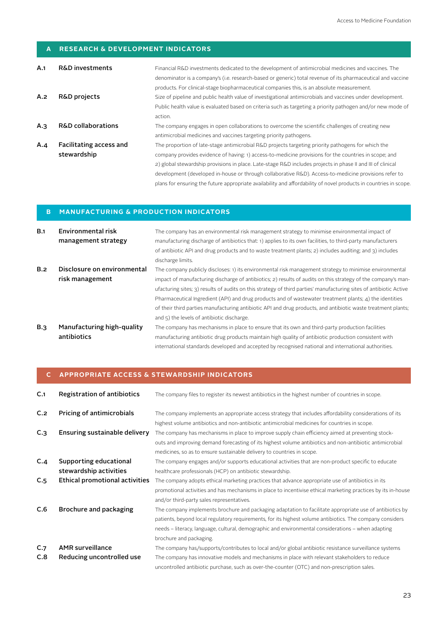# **A RESEARCH & DEVELOPMENT INDICATORS**

| A.1 | <b>R&amp;D</b> investments | Financial R&D investments dedicated to the development of antimicrobial medicines and vaccines. The               |
|-----|----------------------------|-------------------------------------------------------------------------------------------------------------------|
|     |                            | denominator is a company's (i.e. research-based or generic) total revenue of its pharmaceutical and vaccine       |
|     |                            | products. For clinical-stage biopharmaceutical companies this, is an absolute measurement.                        |
| A.2 | R&D projects               | Size of pipeline and public health value of investigational antimicrobials and vaccines under development.        |
|     |                            | Public health value is evaluated based on criteria such as targeting a priority pathogen and/or new mode of       |
|     |                            | action.                                                                                                           |
| A.3 | R&D collaborations         | The company engages in open collaborations to overcome the scientific challenges of creating new                  |
|     |                            | antimicrobial medicines and vaccines targeting priority pathogens.                                                |
| A.4 | Facilitating access and    | The proportion of late-stage antimicrobial R&D projects targeting priority pathogens for which the                |
|     | stewardship                | company provides evidence of having: 1) access-to-medicine provisions for the countries in scope; and             |
|     |                            | 2) global stewardship provisions in place. Late-stage R&D includes projects in phase II and III of clinical       |
|     |                            | development (developed in-house or through collaborative R&D). Access-to-medicine provisions refer to             |
|     |                            | plans for ensuring the future appropriate availability and affordability of novel products in countries in scope. |

# **B MANUFACTURING & PRODUCTION INDICATORS**

| B.1 | Environmental risk          | The company has an environmental risk management strategy to minimise environmental impact of                      |
|-----|-----------------------------|--------------------------------------------------------------------------------------------------------------------|
|     | management strategy         | manufacturing discharge of antibiotics that: 1) applies to its own facilities, to third-party manufacturers        |
|     |                             | of antibiotic API and drug products and to waste treatment plants; $2$ ) includes auditing; and $3$ ) includes     |
|     |                             | discharge limits.                                                                                                  |
| B.2 | Disclosure on environmental | The company publicly discloses: 1) its environmental risk management strategy to minimise environmental            |
|     | risk management             | impact of manufacturing discharge of antibiotics; 2) results of audits on this strategy of the company's man-      |
|     |                             | ufacturing sites; 3) results of audits on this strategy of third parties' manufacturing sites of antibiotic Active |
|     |                             | Pharmaceutical Ingredient (API) and drug products and of wastewater treatment plants; $\Delta$ ) the identities    |
|     |                             | of their third parties manufacturing antibiotic API and drug products, and antibiotic waste treatment plants;      |
|     |                             | and $\frac{1}{2}$ ) the levels of antibiotic discharge.                                                            |
| B.3 | Manufacturing high-quality  | The company has mechanisms in place to ensure that its own and third-party production facilities                   |
|     | antibiotics                 | manufacturing antibiotic drug products maintain high quality of antibiotic production consistent with              |
|     |                             | international standards developed and accepted by recognised national and international authorities.               |

# **C APPROPRIATE ACCESS & STEWARDSHIP INDICATORS**

| C.1 | Registration of antibiotics    | The company files to register its newest antibiotics in the highest number of countries in scope.             |
|-----|--------------------------------|---------------------------------------------------------------------------------------------------------------|
| C.2 | Pricing of antimicrobials      | The company implements an appropriate access strategy that includes affordability considerations of its       |
|     |                                | highest volume antibiotics and non-antibiotic antimicrobial medicines for countries in scope.                 |
| C.3 | Ensuring sustainable delivery  | The company has mechanisms in place to improve supply chain efficiency aimed at preventing stock-             |
|     |                                | outs and improving demand forecasting of its highest volume antibiotics and non-antibiotic antimicrobial      |
|     |                                | medicines, so as to ensure sustainable delivery to countries in scope.                                        |
| C.4 | Supporting educational         | The company engages and/or supports educational activities that are non-product specific to educate           |
|     | stewardship activities         | healthcare professionals (HCP) on antibiotic stewardship.                                                     |
| C.5 | Ethical promotional activities | The company adopts ethical marketing practices that advance appropriate use of antibiotics in its             |
|     |                                | promotional activities and has mechanisms in place to incentivise ethical marketing practices by its in-house |
|     |                                | and/or third-party sales representatives.                                                                     |
| C.6 | Brochure and packaging         | The company implements brochure and packaging adaptation to facilitate appropriate use of antibiotics by      |
|     |                                | patients, beyond local regulatory requirements, for its highest volume antibiotics. The company considers     |
|     |                                | needs - literacy, language, cultural, demographic and environmental considerations - when adapting            |
|     |                                | brochure and packaging.                                                                                       |
| C.7 | <b>AMR</b> surveillance        | The company has/supports/contributes to local and/or global antibiotic resistance surveillance systems        |
| C.8 | Reducing uncontrolled use      | The company has innovative models and mechanisms in place with relevant stakeholders to reduce                |
|     |                                | uncontrolled antibiotic purchase, such as over-the-counter (OTC) and non-prescription sales.                  |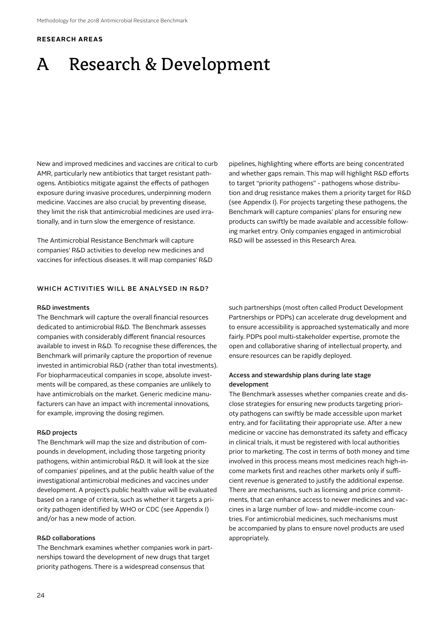# **RESEARCH AREAS**

# A Research & Development

New and improved medicines and vaccines are critical to curb AMR, particularly new antibiotics that target resistant pathogens. Antibiotics mitigate against the effects of pathogen exposure during invasive procedures, underpinning modern medicine. Vaccines are also crucial; by preventing disease, they limit the risk that antimicrobial medicines are used irrationally, and in turn slow the emergence of resistance.

The Antimicrobial Resistance Benchmark will capture companies' R&D activities to develop new medicines and vaccines for infectious diseases. It will map companies' R&D pipelines, highlighting where efforts are being concentrated and whether gaps remain. This map will highlight R&D efforts to target "priority pathogens" - pathogens whose distribution and drug resistance makes them a priority target for R&D (see Appendix I). For projects targeting these pathogens, the Benchmark will capture companies' plans for ensuring new products can swiftly be made available and accessible following market entry. Only companies engaged in antimicrobial R&D will be assessed in this Research Area.

# WHICH ACTIVITIES WILL BE ANALYSED IN R&D?

#### R&D investments

The Benchmark will capture the overall financial resources dedicated to antimicrobial R&D. The Benchmark assesses companies with considerably different financial resources available to invest in R&D. To recognise these differences, the Benchmark will primarily capture the proportion of revenue invested in antimicrobial R&D (rather than total investments). For biopharmaceutical companies in scope, absolute investments will be compared, as these companies are unlikely to have antimicrobials on the market. Generic medicine manufacturers can have an impact with incremental innovations, for example, improving the dosing regimen.

# R&D projects

The Benchmark will map the size and distribution of compounds in development, including those targeting priority pathogens, within antimicrobial R&D. It will look at the size of companies' pipelines, and at the public health value of the investigational antimicrobial medicines and vaccines under development. A project's public health value will be evaluated based on a range of criteria, such as whether it targets a priority pathogen identified by WHO or CDC (see Appendix I) and/or has a new mode of action.

# R&D collaborations

The Benchmark examines whether companies work in partnerships toward the development of new drugs that target priority pathogens. There is a widespread consensus that

such partnerships (most often called Product Development Partnerships or PDPs) can accelerate drug development and to ensure accessibility is approached systematically and more fairly. PDPs pool multi-stakeholder expertise, promote the open and collaborative sharing of intellectual property, and ensure resources can be rapidly deployed.

# Access and stewardship plans during late stage development

The Benchmark assesses whether companies create and disclose strategies for ensuring new products targeting priorioty pathogens can swiftly be made accessible upon market entry, and for facilitating their appropriate use. After a new medicine or vaccine has demonstrated its safety and efficacy in clinical trials, it must be registered with local authorities prior to marketing. The cost in terms of both money and time involved in this process means most medicines reach high-income markets first and reaches other markets only if sufficient revenue is generated to justify the additional expense. There are mechanisms, such as licensing and price commitments, that can enhance access to newer medicines and vaccines in a large number of low- and middle-income countries. For antimicrobial medicines, such mechanisms must be accompanied by plans to ensure novel products are used appropriately.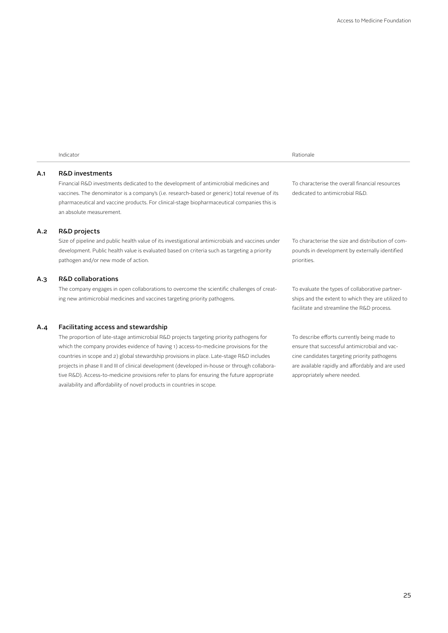# A.1 R&D investments

Financial R&D investments dedicated to the development of antimicrobial medicines and vaccines. The denominator is a company's (i.e. research-based or generic) total revenue of its pharmaceutical and vaccine products. For clinical-stage biopharmaceutical companies this is an absolute measurement.

## A.2 R&D projects

Size of pipeline and public health value of its investigational antimicrobials and vaccines under development. Public health value is evaluated based on criteria such as targeting a priority pathogen and/or new mode of action.

# A.3 R&D collaborations

The company engages in open collaborations to overcome the scientific challenges of creating new antimicrobial medicines and vaccines targeting priority pathogens.

#### A.4 Facilitating access and stewardship

The proportion of late-stage antimicrobial R&D projects targeting priority pathogens for which the company provides evidence of having 1) access-to-medicine provisions for the countries in scope and 2) global stewardship provisions in place. Late-stage R&D includes projects in phase II and III of clinical development (developed in-house or through collaborative R&D). Access-to-medicine provisions refer to plans for ensuring the future appropriate availability and affordability of novel products in countries in scope.

To characterise the overall financial resources dedicated to antimicrobial R&D.

To characterise the size and distribution of compounds in development by externally identified priorities.

To evaluate the types of collaborative partnerships and the extent to which they are utilized to facilitate and streamline the R&D process.

To describe efforts currently being made to ensure that successful antimicrobial and vaccine candidates targeting priority pathogens are available rapidly and affordably and are used appropriately where needed.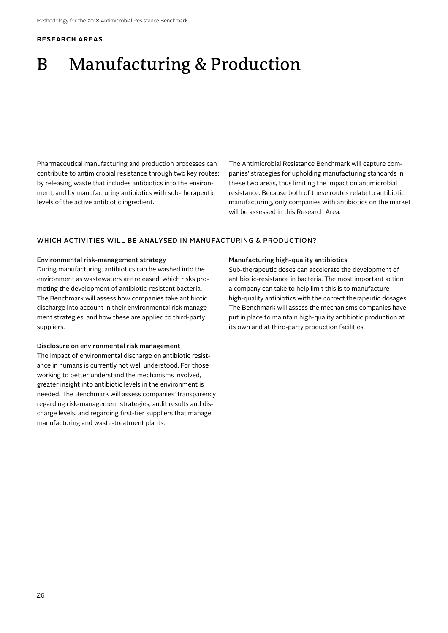# **RESEARCH AREAS**

# B Manufacturing & Production

Pharmaceutical manufacturing and production processes can contribute to antimicrobial resistance through two key routes: by releasing waste that includes antibiotics into the environment; and by manufacturing antibiotics with sub-therapeutic levels of the active antibiotic ingredient.

The Antimicrobial Resistance Benchmark will capture companies' strategies for upholding manufacturing standards in these two areas, thus limiting the impact on antimicrobial resistance. Because both of these routes relate to antibiotic manufacturing, only companies with antibiotics on the market will be assessed in this Research Area.

# WHICH ACTIVITIES WILL BE ANALYSED IN MANUFACTURING & PRODUCTION?

# Environmental risk-management strategy

During manufacturing, antibiotics can be washed into the environment as wastewaters are released, which risks promoting the development of antibiotic-resistant bacteria. The Benchmark will assess how companies take antibiotic discharge into account in their environmental risk management strategies, and how these are applied to third-party suppliers.

### Disclosure on environmental risk management

The impact of environmental discharge on antibiotic resistance in humans is currently not well understood. For those working to better understand the mechanisms involved, greater insight into antibiotic levels in the environment is needed. The Benchmark will assess companies' transparency regarding risk-management strategies, audit results and discharge levels, and regarding first-tier suppliers that manage manufacturing and waste-treatment plants.

### Manufacturing high-quality antibiotics

Sub-therapeutic doses can accelerate the development of antibiotic-resistance in bacteria. The most important action a company can take to help limit this is to manufacture high-quality antibiotics with the correct therapeutic dosages. The Benchmark will assess the mechanisms companies have put in place to maintain high-quality antibiotic production at its own and at third-party production facilities.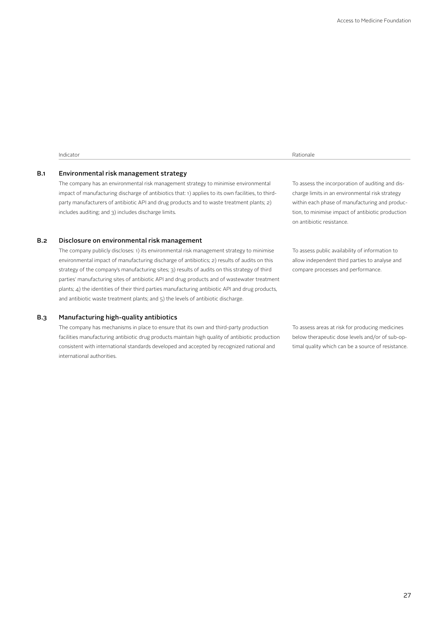#### Indicator Rationale

# B.1 Environmental risk management strategy

The company has an environmental risk management strategy to minimise environmental impact of manufacturing discharge of antibiotics that: 1) applies to its own facilities, to thirdparty manufacturers of antibiotic API and drug products and to waste treatment plants; 2) includes auditing; and 3) includes discharge limits.

# B.2 Disclosure on environmental risk management

The company publicly discloses: 1) its environmental risk management strategy to minimise environmental impact of manufacturing discharge of antibiotics; 2) results of audits on this strategy of the company's manufacturing sites; 3) results of audits on this strategy of third parties' manufacturing sites of antibiotic API and drug products and of wastewater treatment plants; 4) the identities of their third parties manufacturing antibiotic API and drug products, and antibiotic waste treatment plants; and 5) the levels of antibiotic discharge.

# B.3 Manufacturing high-quality antibiotics

The company has mechanisms in place to ensure that its own and third-party production facilities manufacturing antibiotic drug products maintain high quality of antibiotic production consistent with international standards developed and accepted by recognized national and international authorities.

To assess the incorporation of auditing and discharge limits in an environmental risk strategy within each phase of manufacturing and production, to minimise impact of antibiotic production on antibiotic resistance.

To assess public availability of information to allow independent third parties to analyse and compare processes and performance.

To assess areas at risk for producing medicines below therapeutic dose levels and/or of sub-optimal quality which can be a source of resistance.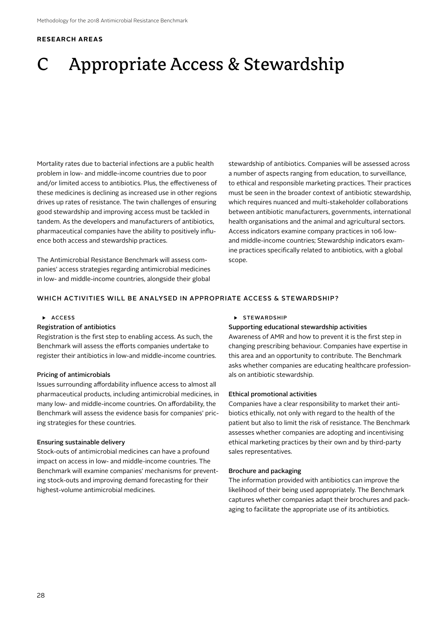# **RESEARCH AREAS**

# C Appropriate Access & Stewardship

Mortality rates due to bacterial infections are a public health problem in low- and middle-income countries due to poor and/or limited access to antibiotics. Plus, the effectiveness of these medicines is declining as increased use in other regions drives up rates of resistance. The twin challenges of ensuring good stewardship and improving access must be tackled in tandem. As the developers and manufacturers of antibiotics, pharmaceutical companies have the ability to positively influence both access and stewardship practices.

The Antimicrobial Resistance Benchmark will assess companies' access strategies regarding antimicrobial medicines in low- and middle-income countries, alongside their global stewardship of antibiotics. Companies will be assessed across a number of aspects ranging from education, to surveillance, to ethical and responsible marketing practices. Their practices must be seen in the broader context of antibiotic stewardship, which requires nuanced and multi-stakeholder collaborations between antibiotic manufacturers, governments, international health organisations and the animal and agricultural sectors. Access indicators examine company practices in 106 lowand middle-income countries; Stewardship indicators examine practices specifically related to antibiotics, with a global scope.

# WHICH ACTIVITIES WILL BE ANALYSED IN APPROPRIATE ACCESS & STEWARDSHIP?

### ▶ ACCESS

### Registration of antibiotics

Registration is the first step to enabling access. As such, the Benchmark will assess the efforts companies undertake to register their antibiotics in low-and middle-income countries.

#### Pricing of antimicrobials

Issues surrounding affordability influence access to almost all pharmaceutical products, including antimicrobial medicines, in many low- and middle-income countries. On affordability, the Benchmark will assess the evidence basis for companies' pricing strategies for these countries.

### Ensuring sustainable delivery

Stock-outs of antimicrobial medicines can have a profound impact on access in low- and middle-income countries. The Benchmark will examine companies' mechanisms for preventing stock-outs and improving demand forecasting for their highest-volume antimicrobial medicines.

### ▶ STEWARDSHIP

### Supporting educational stewardship activities

Awareness of AMR and how to prevent it is the first step in changing prescribing behaviour. Companies have expertise in this area and an opportunity to contribute. The Benchmark asks whether companies are educating healthcare professionals on antibiotic stewardship.

#### Ethical promotional activities

Companies have a clear responsibility to market their antibiotics ethically, not only with regard to the health of the patient but also to limit the risk of resistance. The Benchmark assesses whether companies are adopting and incentivising ethical marketing practices by their own and by third-party sales representatives.

#### Brochure and packaging

The information provided with antibiotics can improve the likelihood of their being used appropriately. The Benchmark captures whether companies adapt their brochures and packaging to facilitate the appropriate use of its antibiotics.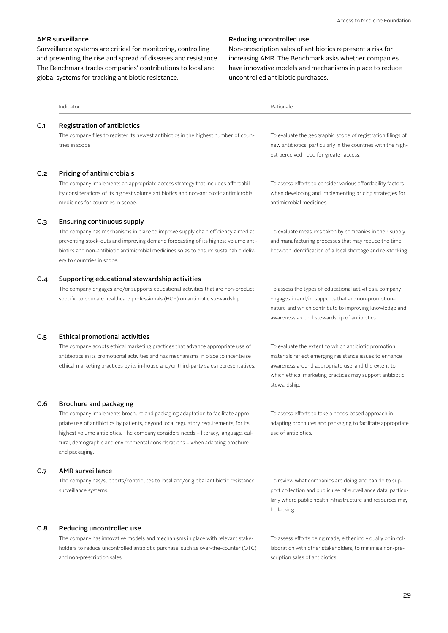# AMR surveillance

Surveillance systems are critical for monitoring, controlling and preventing the rise and spread of diseases and resistance. The Benchmark tracks companies' contributions to local and global systems for tracking antibiotic resistance.

# Reducing uncontrolled use

Non-prescription sales of antibiotics represent a risk for increasing AMR. The Benchmark asks whether companies have innovative models and mechanisms in place to reduce uncontrolled antibiotic purchases.

|     | Indicator                                                                                                                                                                                                                                                                                                                                                     | Rationale                                                                                                                                                                                                                                          |
|-----|---------------------------------------------------------------------------------------------------------------------------------------------------------------------------------------------------------------------------------------------------------------------------------------------------------------------------------------------------------------|----------------------------------------------------------------------------------------------------------------------------------------------------------------------------------------------------------------------------------------------------|
| C.1 | <b>Registration of antibiotics</b><br>The company files to register its newest antibiotics in the highest number of coun-<br>tries in scope.                                                                                                                                                                                                                  | To evaluate the geographic scope of registration filings of<br>new antibiotics, particularly in the countries with the high-                                                                                                                       |
|     |                                                                                                                                                                                                                                                                                                                                                               | est perceived need for greater access.                                                                                                                                                                                                             |
| C.2 | Pricing of antimicrobials                                                                                                                                                                                                                                                                                                                                     |                                                                                                                                                                                                                                                    |
|     | The company implements an appropriate access strategy that includes affordabil-<br>ity considerations of its highest volume antibiotics and non-antibiotic antimicrobial<br>medicines for countries in scope.                                                                                                                                                 | To assess efforts to consider various affordability factors<br>when developing and implementing pricing strategies for<br>antimicrobial medicines.                                                                                                 |
| С.3 | <b>Ensuring continuous supply</b>                                                                                                                                                                                                                                                                                                                             |                                                                                                                                                                                                                                                    |
|     | The company has mechanisms in place to improve supply chain efficiency aimed at<br>preventing stock-outs and improving demand forecasting of its highest volume anti-<br>biotics and non-antibiotic antimicrobial medicines so as to ensure sustainable deliv-<br>ery to countries in scope.                                                                  | To evaluate measures taken by companies in their supply<br>and manufacturing processes that may reduce the time<br>between identification of a local shortage and re-stocking.                                                                     |
| C.4 | Supporting educational stewardship activities                                                                                                                                                                                                                                                                                                                 |                                                                                                                                                                                                                                                    |
|     | The company engages and/or supports educational activities that are non-product<br>specific to educate healthcare professionals (HCP) on antibiotic stewardship.                                                                                                                                                                                              | To assess the types of educational activities a company<br>engages in and/or supports that are non-promotional in<br>nature and which contribute to improving knowledge and<br>awareness around stewardship of antibiotics.                        |
| C.5 | Ethical promotional activities                                                                                                                                                                                                                                                                                                                                |                                                                                                                                                                                                                                                    |
|     | The company adopts ethical marketing practices that advance appropriate use of<br>antibiotics in its promotional activities and has mechanisms in place to incentivise<br>ethical marketing practices by its in-house and/or third-party sales representatives.                                                                                               | To evaluate the extent to which antibiotic promotion<br>materials reflect emerging resistance issues to enhance<br>awareness around appropriate use, and the extent to<br>which ethical marketing practices may support antibiotic<br>stewardship. |
| C.6 | Brochure and packaging                                                                                                                                                                                                                                                                                                                                        |                                                                                                                                                                                                                                                    |
|     | The company implements brochure and packaging adaptation to facilitate appro-<br>priate use of antibiotics by patients, beyond local regulatory requirements, for its<br>highest volume antibiotics. The company considers needs - literacy, language, cul-<br>tural, demographic and environmental considerations – when adapting brochure<br>and packaging. | To assess efforts to take a needs-based approach in<br>adapting brochures and packaging to facilitate appropriate<br>use of antibiotics.                                                                                                           |
| C.7 | <b>AMR</b> surveillance                                                                                                                                                                                                                                                                                                                                       |                                                                                                                                                                                                                                                    |
|     | The company has/supports/contributes to local and/or global antibiotic resistance<br>surveillance systems.                                                                                                                                                                                                                                                    | To review what companies are doing and can do to sup-<br>port collection and public use of surveillance data, particu-<br>larly where public health infrastructure and resources may<br>be lacking.                                                |
| C.8 | Reducing uncontrolled use                                                                                                                                                                                                                                                                                                                                     |                                                                                                                                                                                                                                                    |
|     | The company has innovative models and mechanisms in place with relevant stake-                                                                                                                                                                                                                                                                                | To assess efforts being made, either individually or in col-                                                                                                                                                                                       |

holders to reduce uncontrolled antibiotic purchase, such as over-the-counter (OTC) and non-prescription sales.

29

laboration with other stakeholders, to minimise non-pre-

scription sales of antibiotics.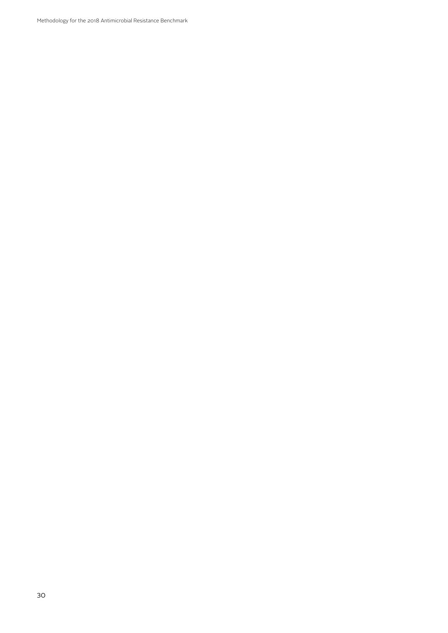Methodology for the 2018 Antimicrobial Resistance Benchmark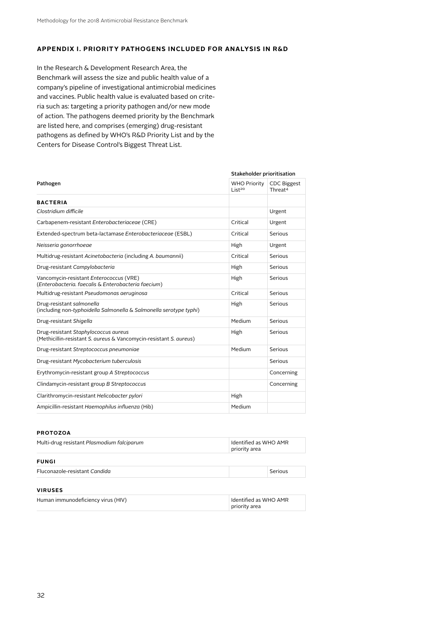# **APPENDIX I. PRIORITY PATHOGENS INCLUDED FOR ANALYSIS IN R&D**

In the Research & Development Research Area, the Benchmark will assess the size and public health value of a company's pipeline of investigational antimicrobial medicines and vaccines. Public health value is evaluated based on criteria such as: targeting a priority pathogen and/or new mode of action. The pathogens deemed priority by the Benchmark are listed here, and comprises (emerging) drug-resistant pathogens as defined by WHO's R&D Priority List and by the Centers for Disease Control's Biggest Threat List.

|                                                                                                            | Stakeholder prioritisation                |                                           |  |  |
|------------------------------------------------------------------------------------------------------------|-------------------------------------------|-------------------------------------------|--|--|
| Pathogen                                                                                                   | <b>WHO Priority</b><br>List <sup>20</sup> | <b>CDC Biggest</b><br>Threat <sup>4</sup> |  |  |
| <b>BACTERIA</b>                                                                                            |                                           |                                           |  |  |
| Clostridium difficile                                                                                      |                                           | Urgent                                    |  |  |
| Carbapenem-resistant Enterobacteriaceae (CRE)                                                              | Critical                                  | Urgent                                    |  |  |
| Extended-spectrum beta-lactamase Enterobacteriaceae (ESBL)                                                 | Critical                                  | Serious                                   |  |  |
| Neisseria gonorrhoeae                                                                                      | High                                      | Urgent                                    |  |  |
| Multidrug-resistant Acinetobacteria (including A. baumannii)                                               | Critical                                  | Serious                                   |  |  |
| Drug-resistant Campylobacteria                                                                             | High                                      | Serious                                   |  |  |
| Vancomycin-resistant Enterococcus (VRE)<br>(Enterobacteria, faecalis & Enterobacteria faecium)             | High                                      | Serious                                   |  |  |
| Multidrug-resistant Pseudomonas aeruginosa                                                                 | Critical                                  | Serious                                   |  |  |
| Drug-resistant salmonella<br>(including non-typhoidella Salmonella & Salmonella serotype typhi)            | High                                      | Serious                                   |  |  |
| Drug-resistant Shigella                                                                                    | Medium                                    | Serious                                   |  |  |
| Drug-resistant Staphylococcus aureus<br>(Methicillin-resistant S. aureus & Vancomycin-resistant S. aureus) | High                                      | Serious                                   |  |  |
| Drug-resistant Streptococcus pneumoniae                                                                    | Medium                                    | Serious                                   |  |  |
| Drug-resistant Mycobacterium tuberculosis                                                                  |                                           | Serious                                   |  |  |
| Erythromycin-resistant group A Streptococcus                                                               |                                           | Concerning                                |  |  |
| Clindamycin-resistant group B Streptococcus                                                                |                                           | Concerning                                |  |  |
| Clarithromycin-resistant Helicobacter pylori                                                               | High                                      |                                           |  |  |
| Ampicillin-resistant Haemophilus influenza (Hib)                                                           | Medium                                    |                                           |  |  |
|                                                                                                            |                                           |                                           |  |  |

### **PROTOZOA**

| Multi-drug resistant Plasmodium falciparum | Identified as WHO AMR<br>priority area |
|--------------------------------------------|----------------------------------------|
| <b>FUNGI</b>                               |                                        |
| Fluconazole-resistant Candida              | Serious                                |
|                                            |                                        |

# **VIRUSES**

| Human immunodeficiency virus (HIV) | Identified as WHO AMR |
|------------------------------------|-----------------------|
|                                    | priority area         |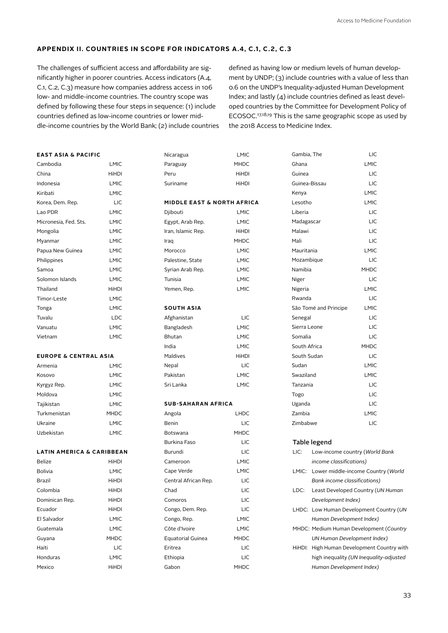# **APPENDIX II. COUNTRIES IN SCOPE FOR INDICATORS A.4, C.1, C.2, C.3**

The challenges of sufficient access and affordability are significantly higher in poorer countries. Access indicators (A.4, C.1, C.2, C.3) measure how companies address access in 106 low- and middle-income countries. The country scope was defined by following these four steps in sequence: (1) include countries defined as low-income countries or lower middle-income countries by the World Bank; (2) include countries

defined as having low or medium levels of human development by UNDP; (3) include countries with a value of less than 0.6 on the UNDP's Inequality-adjusted Human Development Index; and lastly (4) include countries defined as least developed countries by the Committee for Development Policy of ECOSOC.17,18,19 This is the same geographic scope as used by the 2018 Access to Medicine Index.

| <b>EAST ASIA &amp; PACIFIC</b>       |             | Nicaragua                             | LMIC        | Gambia, The                     | LIC                                        |
|--------------------------------------|-------------|---------------------------------------|-------------|---------------------------------|--------------------------------------------|
| Cambodia                             | <b>LMIC</b> | Paraguay                              | <b>MHDC</b> | Ghana                           | <b>LMIC</b>                                |
| China                                | HİHDI       | Peru                                  | HİHDI       | Guinea                          | LIC                                        |
| Indonesia                            | <b>LMIC</b> | Suriname                              | HiHDI       | Guinea-Bissau                   | LIC                                        |
| Kiribati                             | <b>LMIC</b> |                                       |             | Kenya                           | <b>LMIC</b>                                |
| Korea, Dem. Rep.                     | <b>LIC</b>  | <b>MIDDLE EAST &amp; NORTH AFRICA</b> |             | Lesotho                         | <b>LMIC</b>                                |
| Lao PDR                              | <b>LMIC</b> | Djibouti                              | LMIC        | Liberia                         | LIC                                        |
| Micronesia, Fed. Sts.                | <b>LMIC</b> | Egypt, Arab Rep.                      | LMIC        | Madagascar                      | LIC                                        |
| Mongolia                             | <b>LMIC</b> | Iran, Islamic Rep.                    | HİHDI       | Malawi                          | LIC                                        |
| Myanmar                              | <b>LMIC</b> | Iraq                                  | <b>MHDC</b> | Mali                            | LIC                                        |
| Papua New Guinea                     | <b>LMIC</b> | Morocco                               | LMIC        | Mauritania                      | <b>LMIC</b>                                |
| Philippines                          | <b>LMIC</b> | Palestine, State                      | <b>LMIC</b> | Mozambique                      | LIC                                        |
| Samoa                                | <b>LMIC</b> | Syrian Arab Rep.                      | <b>LMIC</b> | Namibia                         | <b>MHDC</b>                                |
| Solomon Islands                      | <b>LMIC</b> | Tunisia                               | LMIC        | Niger                           | LIC                                        |
| Thailand                             | HİHDI       | Yemen, Rep.                           | <b>LMIC</b> | Nigeria                         | <b>LMIC</b>                                |
| Timor-Leste                          | <b>LMIC</b> |                                       |             | Rwanda                          | LIC                                        |
| Tonga                                | <b>LMIC</b> | <b>SOUTH ASIA</b>                     |             | São Tomé and Principe           | <b>LMIC</b>                                |
| Tuvalu                               | <b>LDC</b>  | Afghanistan                           | LIC         | Senegal                         | LIC                                        |
| Vanuatu                              | <b>LMIC</b> | Bangladesh                            | LMIC        | Sierra Leone                    | LIC                                        |
| Vietnam                              | <b>LMIC</b> | Bhutan                                | <b>LMIC</b> | Somalia                         | LIC                                        |
|                                      |             | India                                 | LMIC        | South Africa                    | <b>MHDC</b>                                |
| <b>EUROPE &amp; CENTRAL ASIA</b>     |             | Maldives                              | HiHDI       | South Sudan                     | LIC                                        |
| Armenia                              | <b>LMIC</b> | Nepal                                 | LIC         | Sudan                           | <b>LMIC</b>                                |
| Kosovo                               | <b>LMIC</b> | Pakistan                              | <b>LMIC</b> | Swaziland                       | <b>LMIC</b>                                |
| Kyrgyz Rep.                          | <b>LMIC</b> | Sri Lanka                             | <b>LMIC</b> | Tanzania                        | LIC                                        |
| Moldova                              | <b>LMIC</b> |                                       |             | Togo                            | LIC                                        |
| Tajikistan                           | <b>LMIC</b> | <b>SUB-SAHARAN AFRICA</b>             |             | Uganda                          | LIC                                        |
| Turkmenistan                         | <b>MHDC</b> | Angola                                | <b>LHDC</b> | Zambia                          | <b>LMIC</b>                                |
| Ukraine                              | <b>LMIC</b> | Benin                                 | LIC         | Zimbabwe                        | LIC                                        |
| Uzbekistan                           | <b>LMIC</b> | Botswana                              | <b>MHDC</b> |                                 |                                            |
|                                      |             | Burkina Faso                          | LIC         | <b>Table legend</b>             |                                            |
| <b>LATIN AMERICA &amp; CARIBBEAN</b> |             | Burundi                               | LIC         | LIC:                            | Low-income country (World Bank             |
| <b>Belize</b>                        | HİHDI       | Cameroon                              | <b>LMIC</b> | <i>income classifications</i> ) |                                            |
| <b>Bolivia</b>                       | <b>LMIC</b> | Cape Verde                            | <b>LMIC</b> |                                 | LMIC: Lower middle-income Country (World   |
| Brazil                               | HiHDI       | Central African Rep.                  | LIC         |                                 | Bank income classifications)               |
| Colombia                             | HiHDI       | Chad                                  | LIC         | LDC:                            | Least Developed Country (UN Human          |
| Dominican Rep.                       | HiHDI       | Comoros                               | LIC         | Development Index)              |                                            |
| Ecuador                              | HiHDI       | Congo, Dem. Rep.                      | LIC         |                                 | LHDC: Low Human Development Country (UN    |
| El Salvador                          | LMIC        | Congo, Rep.                           | LMIC        |                                 | Human Development Index)                   |
| Guatemala                            | LMIC        | Côte d'Ivoire                         | LMIC        |                                 | MHDC: Medium Human Development (Country    |
| Guyana                               | <b>MHDC</b> | <b>Equatorial Guinea</b>              | <b>MHDC</b> |                                 | UN Human Development Index)                |
| Haiti                                | LIC         | Eritrea                               | LIC         |                                 | HiHDI: High Human Development Country with |
| Honduras                             | <b>LMIC</b> | Ethiopia                              | <b>LIC</b>  |                                 | high inequality (UN Inequality-adjusted    |
| Mexico                               | HiHDI       | Gabon                                 | <b>MHDC</b> |                                 | Human Development Index)                   |
|                                      |             |                                       |             |                                 |                                            |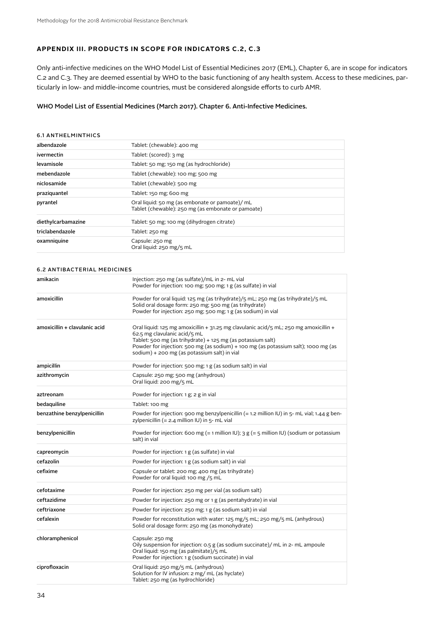# **APPENDIX III. PRODUCTS IN SCOPE FOR INDICATORS C.2, C.3**

Only anti-infective medicines on the WHO Model List of Essential Medicines 2017 (EML), Chapter 6, are in scope for indicators C.2 and C.3. They are deemed essential by WHO to the basic functioning of any health system. Access to these medicines, particularly in low- and middle-income countries, must be considered alongside efforts to curb AMR.

# WHO Model List of Essential Medicines (March 2017). Chapter 6. Anti-Infective Medicines.

#### 6.1 ANTHELMINTHICS

| albendazole        | Tablet: (chewable): 400 mg                                                                            |
|--------------------|-------------------------------------------------------------------------------------------------------|
| ivermectin         | Tablet: (scored): 3 mg                                                                                |
| levamisole         | Tablet: 50 mg; 150 mg (as hydrochloride)                                                              |
| mebendazole        | Tablet (chewable): 100 mg; 500 mg                                                                     |
| niclosamide        | Tablet (chewable): 500 mg                                                                             |
| praziquantel       | Tablet: 150 mg; 600 mg                                                                                |
| pyrantel           | Oral liquid: 50 mg (as embonate or pamoate)/ mL<br>Tablet (chewable): 250 mg (as embonate or pamoate) |
| diethylcarbamazine | Tablet: 50 mg; 100 mg (dihydrogen citrate)                                                            |
| triclabendazole    | Tablet: 250 mg                                                                                        |
| oxamniquine        | Capsule: 250 mg<br>Oral liquid: 250 mg/5 mL                                                           |
|                    |                                                                                                       |

# 6.2 ANTIBACTERIAL MEDICINES

| amikacin                      | Injection: 250 mg (as sulfate)/mL in 2- mL vial<br>Powder for injection: 100 mg; 500 mg; 1 g (as sulfate) in vial                                                                                                                                                                                                          |
|-------------------------------|----------------------------------------------------------------------------------------------------------------------------------------------------------------------------------------------------------------------------------------------------------------------------------------------------------------------------|
| amoxicillin                   | Powder for oral liquid: 125 mg (as trihydrate)/5 mL; 250 mg (as trihydrate)/5 mL<br>Solid oral dosage form: 250 mg; 500 mg (as trihydrate)<br>Powder for injection: 250 mg; 500 mg; 1 g (as sodium) in vial                                                                                                                |
| amoxicillin + clavulanic acid | Oral liquid: 125 mg amoxicillin + 31.25 mg clavulanic acid/5 mL; 250 mg amoxicillin +<br>62.5 mg clavulanic acid/5 mL<br>Tablet: 500 mg (as trihydrate) + 125 mg (as potassium salt)<br>Powder for injection: 500 mg (as sodium) + 100 mg (as potassium salt); 1000 mg (as<br>sodium) + 200 mg (as potassium salt) in vial |
| ampicillin                    | Powder for injection: 500 mg; 1 g (as sodium salt) in vial                                                                                                                                                                                                                                                                 |
| azithromycin                  | Capsule: 250 mg; 500 mg (anhydrous)<br>Oral liquid: 200 mg/5 mL                                                                                                                                                                                                                                                            |
| aztreonam                     | Powder for injection: 1 g; 2 g in vial                                                                                                                                                                                                                                                                                     |
| bedaquiline                   | Tablet: 100 mg                                                                                                                                                                                                                                                                                                             |
| benzathine benzylpenicillin   | Powder for injection: 900 mg benzylpenicillin (= 1.2 million IU) in 5- mL vial; 1.44 g ben-<br>zylpenicillin (= $2.4$ million IU) in $5-$ mL vial                                                                                                                                                                          |
| benzylpenicillin              | Powder for injection: 600 mg (= 1 million IU); 3 g (= 5 million IU) (sodium or potassium<br>salt) in vial                                                                                                                                                                                                                  |
| capreomycin                   | Powder for injection: 1 g (as sulfate) in vial                                                                                                                                                                                                                                                                             |
| cefazolin                     | Powder for injection: 1 g (as sodium salt) in vial                                                                                                                                                                                                                                                                         |
| cefixime                      | Capsule or tablet: 200 mg; 400 mg (as trihydrate)<br>Powder for oral liquid: 100 mg /5 mL                                                                                                                                                                                                                                  |
| cefotaxime                    | Powder for injection: 250 mg per vial (as sodium salt)                                                                                                                                                                                                                                                                     |
| ceftazidime                   | Powder for injection: 250 mg or 1 g (as pentahydrate) in vial                                                                                                                                                                                                                                                              |
| ceftriaxone                   | Powder for injection: 250 mg; 1 g (as sodium salt) in vial                                                                                                                                                                                                                                                                 |
| cefalexin                     | Powder for reconstitution with water: 125 mg/5 mL; 250 mg/5 mL (anhydrous)<br>Solid oral dosage form: 250 mg (as monohydrate)                                                                                                                                                                                              |
| chloramphenicol               | Capsule: 250 mg<br>Oily suspension for injection: $0.5$ g (as sodium succinate)/ mL in 2- mL ampoule<br>Oral liquid: 150 mg (as palmitate)/5 mL<br>Powder for injection: 1 g (sodium succinate) in vial                                                                                                                    |
| ciprofloxacin                 | Oral liquid: 250 mg/5 mL (anhydrous)<br>Solution for IV infusion: 2 mg/mL (as hyclate)<br>Tablet: 250 mg (as hydrochloride)                                                                                                                                                                                                |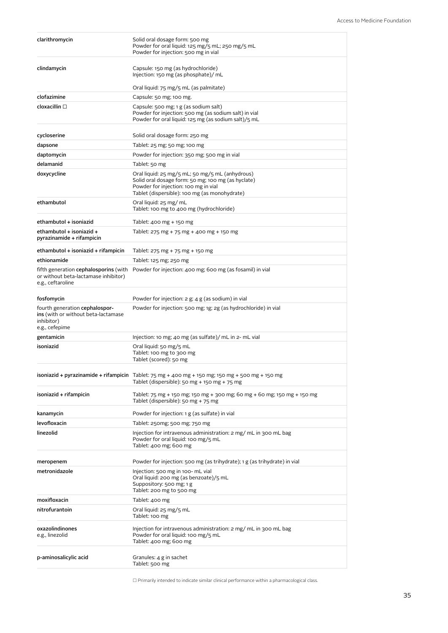| clarithromycin                                                                                        | Solid oral dosage form: 500 mg<br>Powder for oral liquid: 125 mg/5 mL; 250 mg/5 mL<br>Powder for injection: 500 mg in vial                                                                     |
|-------------------------------------------------------------------------------------------------------|------------------------------------------------------------------------------------------------------------------------------------------------------------------------------------------------|
| clindamycin                                                                                           | Capsule: 150 mg (as hydrochloride)<br>Injection: 150 mg (as phosphate)/ mL                                                                                                                     |
|                                                                                                       | Oral liquid: 75 mg/5 mL (as palmitate)                                                                                                                                                         |
| clofazimine                                                                                           | Capsule: 50 mg; 100 mg.                                                                                                                                                                        |
| cloxacillin □                                                                                         | Capsule: 500 mg; 1 g (as sodium salt)<br>Powder for injection: 500 mg (as sodium salt) in vial<br>Powder for oral liquid: 125 mg (as sodium salt)/5 mL                                         |
| cycloserine                                                                                           | Solid oral dosage form: 250 mg                                                                                                                                                                 |
| dapsone                                                                                               | Tablet: 25 mg; 50 mg; 100 mg                                                                                                                                                                   |
| daptomycin                                                                                            | Powder for injection: 350 mg; 500 mg in vial                                                                                                                                                   |
| delamanid                                                                                             | Tablet: 50 mg                                                                                                                                                                                  |
| doxycycline                                                                                           | Oral liquid: 25 mg/5 mL; 50 mg/5 mL (anhydrous)<br>Solid oral dosage form: 50 mg; 100 mg (as hyclate)<br>Powder for injection: 100 mg in vial<br>Tablet (dispersible): 100 mg (as monohydrate) |
| ethambutol                                                                                            | Oral liquid: 25 mg/ mL<br>Tablet: 100 mg to 400 mg (hydrochloride)                                                                                                                             |
| ethambutol + isoniazid                                                                                | Tablet: 400 mg + 150 mg                                                                                                                                                                        |
| ethambutol + isoniazid +<br>pyrazinamide + rifampicin                                                 | Tablet: 275 mg + 75 mg + 400 mg + 150 mg                                                                                                                                                       |
| ethambutol + isoniazid + rifampicin                                                                   | Tablet: $275$ mg + 75 mg + 150 mg                                                                                                                                                              |
| ethionamide                                                                                           | Tablet: 125 mg; 250 mg                                                                                                                                                                         |
| or without beta-lactamase inhibitor)<br>e.g., ceftaroline                                             | fifth generation cephalosporins (with Powder for injection: 400 mg; 600 mg (as fosamil) in vial                                                                                                |
| fosfomycin                                                                                            | Powder for injection: $2 g$ ; $4 g$ (as sodium) in vial                                                                                                                                        |
| fourth generation cephalospor-<br>ins (with or without beta-lactamase<br>inhibitor)<br>e.g., cefepime | Powder for injection: 500 mg; 1g; 2g (as hydrochloride) in vial                                                                                                                                |
| gentamicin                                                                                            | Injection: 10 mg; 40 mg (as sulfate)/ mL in 2- mL vial                                                                                                                                         |
| isoniazid                                                                                             | Oral liquid: 50 mg/5 mL<br>Tablet: 100 mg to 300 mg<br>Tablet (scored): 50 mg                                                                                                                  |
|                                                                                                       | isoniazid + pyrazinamide + rifampicin Tablet: 75 mg + 400 mg + 150 mg; 150 mg + 500 mg + 150 mg<br>Tablet (dispersible): 50 mg + 150 mg + 75 mg                                                |
| isoniazid + rifampicin                                                                                | Tablet: 75 mg + 150 mg; 150 mg + 300 mg; 60 mg + 60 mg; 150 mg + 150 mg<br>Tablet (dispersible): 50 mg + 75 mg                                                                                 |
| kanamycin                                                                                             | Powder for injection: 1 g (as sulfate) in vial                                                                                                                                                 |
| levofloxacin                                                                                          | Tablet: 250mg; 500 mg; 750 mg                                                                                                                                                                  |
| linezolid                                                                                             | Injection for intravenous administration: 2 mg/ mL in 300 mL bag<br>Powder for oral liquid: 100 mg/5 mL<br>Tablet: 400 mg; 600 mg                                                              |
| meropenem                                                                                             | Powder for injection: 500 mg (as trihydrate); 1 g (as trihydrate) in vial                                                                                                                      |
| metronidazole                                                                                         | Injection: 500 mg in 100- mL vial<br>Oral liquid: 200 mg (as benzoate)/5 mL<br>Suppository: 500 mg; 1 g<br>Tablet: 200 mg to 500 mg                                                            |
| moxifloxacin                                                                                          | Tablet: 400 mg                                                                                                                                                                                 |
| nitrofurantoin                                                                                        | Oral liquid: 25 mg/5 mL<br>Tablet: 100 mg                                                                                                                                                      |
| oxazolindinones<br>e.g., linezolid                                                                    | Injection for intravenous administration: 2 mg/ mL in 300 mL bag<br>Powder for oral liquid: 100 mg/5 mL<br>Tablet: 400 mg; 600 mg                                                              |
| p-aminosalicylic acid                                                                                 | Granules: 4 g in sachet<br>Tablet: 500 mg                                                                                                                                                      |

□ Primarily intended to indicate similar clinical performance within a pharmacological class.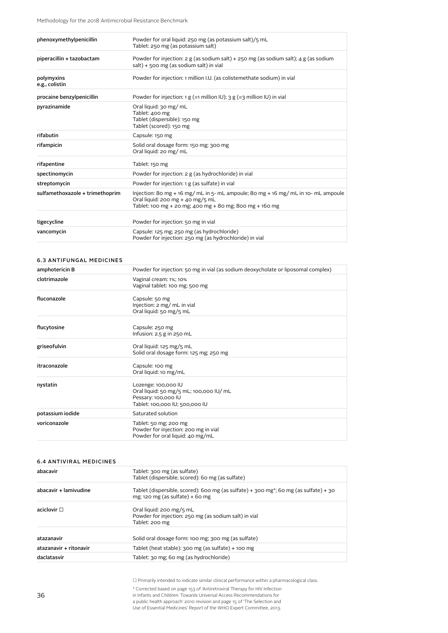Methodology for the 2018 Antimicrobial Resistance Benchmark

| phenoxymethylpenicillin         | Powder for oral liquid: 250 mg (as potassium salt)/5 mL<br>Tablet: 250 mg (as potassium salt)                                                                                      |
|---------------------------------|------------------------------------------------------------------------------------------------------------------------------------------------------------------------------------|
| piperacillin + tazobactam       | Powder for injection: $2 g$ (as sodium salt) + $250 mg$ (as sodium salt); $4 g$ (as sodium<br>$salt) + 500 mg (as sodium salt)$ in vial                                            |
| polymyxins<br>e.g., colistin    | Powder for injection: 1 million I.U. (as colistemethate sodium) in vial                                                                                                            |
| procaine benzylpenicillin       | Powder for injection: 1 g (=1 million IU); 3 g (=3 million IU) in vial                                                                                                             |
| pyrazinamide                    | Oral liquid: 30 mg/mL<br>Tablet: 400 mg<br>Tablet (dispersible): 150 mg<br>Tablet (scored): 150 mg                                                                                 |
| rifabutin                       | Capsule: 150 mg                                                                                                                                                                    |
| rifampicin                      | Solid oral dosage form: 150 mg; 300 mg<br>Oral liquid: 20 mg/mL                                                                                                                    |
| rifapentine                     | Tablet: 150 mg                                                                                                                                                                     |
| spectinomycin                   | Powder for injection: 2 g (as hydrochloride) in vial                                                                                                                               |
| streptomycin                    | Powder for injection: 1 g (as sulfate) in vial                                                                                                                                     |
| sulfamethoxazole + trimethoprim | Injection: 80 mg + 16 mg/mL in $5$ - mL ampoule; 80 mg + 16 mg/mL in 10- mL ampoule<br>Oral liquid: 200 mg + 40 mg/5 mL<br>Tablet: 100 mg + 20 mg; 400 mg + 80 mg; 800 mg + 160 mg |
| tigecycline                     | Powder for injection: 50 mg in vial                                                                                                                                                |
| vancomycin                      | Capsule: 125 mg; 250 mg (as hydrochloride)<br>Powder for injection: 250 mg (as hydrochloride) in vial                                                                              |

## 6.3 ANTIFUNGAL MEDICINES

| amphotericin B   | Powder for injection: 50 mg in vial (as sodium deoxycholate or liposomal complex)                                       |
|------------------|-------------------------------------------------------------------------------------------------------------------------|
| clotrimazole     | Vaginal cream: 1%; 10%<br>Vaginal tablet: 100 mg; 500 mg                                                                |
| fluconazole      | Capsule: 50 mg<br>Injection: 2 mg/ mL in vial<br>Oral liquid: 50 mg/5 mL                                                |
| flucytosine      | Capsule: 250 mg<br>Infusion: $2.5$ g in $250$ mL                                                                        |
| griseofulvin     | Oral liquid: 125 mg/5 mL<br>Solid oral dosage form: 125 mg; 250 mg                                                      |
| itraconazole     | Capsule: 100 mg<br>Oral liquid: 10 mg/mL                                                                                |
| nystatin         | Lozenge: 100,000 IU<br>Oral liquid: 50 mg/5 mL; 100,000 IU/ mL<br>Pessary: 100,000 IU<br>Tablet: 100,000 IU; 500,000 IU |
| potassium iodide | Saturated solution                                                                                                      |
| voriconazole     | Tablet: 50 mg; 200 mg<br>Powder for injection: 200 mg in vial<br>Powder for oral liquid: 40 mg/mL                       |

| <b>6.4 ANTIVIRAL MEDICINES</b> |                                                                                                                          |
|--------------------------------|--------------------------------------------------------------------------------------------------------------------------|
| abacavir                       | Tablet: 300 mg (as sulfate)<br>Tablet (dispersible, scored): 60 mg (as sulfate)                                          |
| abacavir + lamivudine          | Tablet (dispersible, scored): 600 mg (as sulfate) + 300 mg*; 60 mg (as sulfate) + 30<br>mg; 120 mg (as sulfate) $+60$ mg |
| aciclovir $\Box$               | Oral liquid: 200 mg/5 mL<br>Powder for injection: 250 mg (as sodium salt) in vial<br>Tablet: 200 mg                      |
| atazanavir                     | Solid oral dosage form: 100 mg; 300 mg (as sulfate)                                                                      |
| atazanavir + ritonavir         | Tablet (heat stable): 300 mg (as sulfate) + 100 mg                                                                       |
| daclatasvir                    | Tablet: 30 mg; 60 mg (as hydrochloride)                                                                                  |
|                                |                                                                                                                          |

□ Primarily intended to indicate similar clinical performance within a pharmacological class.

\* Corrected based on page 153 of 'Antiretroviral Therapy for HIV Infection

in Infants and Children: Towards Universal Access Recommendations for

a public health approach' 2010 revision and page 15 of 'The Selection and Use of Essential Medicines' Report of the WHO Expert Committee, 2013.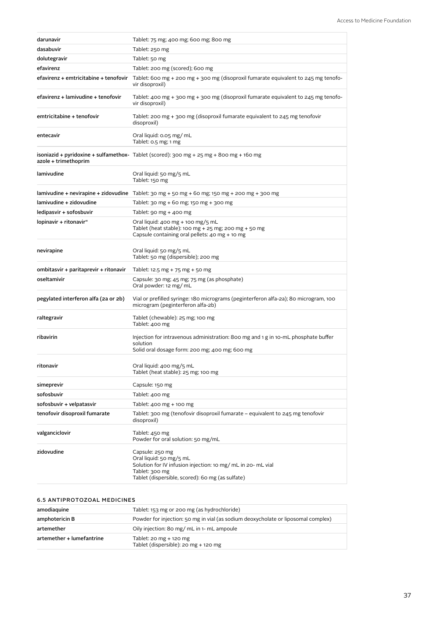| darunavir                             | Tablet: 75 mg; 400 mg; 600 mg; 800 mg                                                                                                                                          |
|---------------------------------------|--------------------------------------------------------------------------------------------------------------------------------------------------------------------------------|
| dasabuvir                             | Tablet: 250 mg                                                                                                                                                                 |
| dolutegravir                          | Tablet: 50 mg                                                                                                                                                                  |
| efavirenz                             | Tablet: 200 mg (scored); 600 mg                                                                                                                                                |
| efavirenz + emtricitabine + tenofovir | Tablet: 600 mg + 200 mg + 300 mg (disoproxil fumarate equivalent to 245 mg tenofo-<br>vir disoproxil)                                                                          |
| efavirenz + lamivudine + tenofovir    | Tablet: 400 mg + 300 mg + 300 mg (disoproxil fumarate equivalent to 245 mg tenofo-<br>vir disoproxil)                                                                          |
| emtricitabine + tenofovir             | Tablet: 200 mg + 300 mg (disoproxil fumarate equivalent to 245 mg tenofovir<br>disoproxil)                                                                                     |
| entecavir                             | Oral liquid: 0.05 mg/ mL<br>Tablet: 0.5 mg; 1 mg                                                                                                                               |
| azole + trimethoprim                  | isoniazid + pyridoxine + sulfamethox- Tablet (scored): 300 mg + 25 mg + 800 mg + 160 mg                                                                                        |
| lamivudine                            | Oral liquid: 50 mg/5 mL<br>Tablet: 150 mg                                                                                                                                      |
|                                       | lamivudine + nevirapine + zidovudine Tablet: 30 mg + 50 mg + 60 mg; 150 mg + 200 mg + 300 mg                                                                                   |
| lamivudine + zidovudine               | Tablet: 30 mg + 60 mg; 150 mg + 300 mg                                                                                                                                         |
| ledipasvir + sofosbuvir               | Tablet: 90 mg + 400 mg                                                                                                                                                         |
| lopinavir + ritonavir"                | Oral liquid: 400 mg + 100 mg/5 mL<br>Tablet (heat stable): 100 mg + 25 mg; 200 mg + 50 mg<br>Capsule containing oral pellets: $40$ mg + 10 mg                                  |
| nevirapine                            | Oral liquid: 50 mg/5 mL<br>Tablet: 50 mg (dispersible); 200 mg                                                                                                                 |
| ombitasvir + paritaprevir + ritonavir | Tablet: 12.5 mg + 75 mg + 50 mg                                                                                                                                                |
| oseltamivir                           | Capsule: 30 mg; 45 mg; 75 mg (as phosphate)<br>Oral powder: 12 mg/ mL                                                                                                          |
| pegylated interferon alfa (2a or 2b)  | Vial or prefilled syringe: 180 micrograms (peginterferon alfa-2a); 80 microgram, 100<br>microgram (peginterferon alfa-2b)                                                      |
| raltegravir                           | Tablet (chewable): 25 mg; 100 mg<br>Tablet: 400 mg                                                                                                                             |
| ribavirin                             | Injection for intravenous administration: 800 mg and 1 g in 10-mL phosphate buffer<br>solution<br>Solid oral dosage form: 200 mg; 400 mg; 600 mg                               |
| ritonavir                             | Oral liquid: 400 mg/5 mL<br>Tablet (heat stable): 25 mg; 100 mg                                                                                                                |
| simeprevir                            | Capsule: 150 mg                                                                                                                                                                |
| sofosbuvir                            | Tablet: 400 mg                                                                                                                                                                 |
| sofosbuvir + velpatasvir              | Tablet: 400 mg + 100 mg                                                                                                                                                        |
| tenofovir disoproxil fumarate         | Tablet: 300 mg (tenofovir disoproxil fumarate – equivalent to 245 mg tenofovir<br>disoproxil)                                                                                  |
| valganciclovir                        | Tablet: 450 mg<br>Powder for oral solution: 50 mg/mL                                                                                                                           |
| zidovudine                            | Capsule: 250 mg<br>Oral liquid: 50 mg/5 mL<br>Solution for IV infusion injection: 10 mg/mL in 20-mL vial<br>Tablet: 300 mg<br>Tablet (dispersible, scored): 60 mg (as sulfate) |

# 6.5 ANTIPROTOZOAL MEDICINES

| amodiaguine               | Tablet: 153 mg or 200 mg (as hydrochloride)                                       |
|---------------------------|-----------------------------------------------------------------------------------|
| amphotericin B            | Powder for injection: 50 mg in vial (as sodium deoxycholate or liposomal complex) |
| artemether                | Oily injection: 80 mg/ mL in 1- mL ampoule                                        |
| artemether + lumefantrine | Tablet: $20 \text{ mg} + 120 \text{ mg}$<br>Tablet (dispersible): 20 mg + 120 mg  |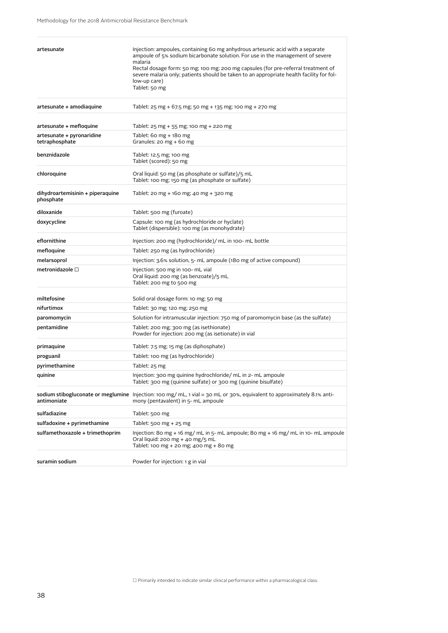| artesunate                                    | Injection: ampoules, containing 60 mg anhydrous artesunic acid with a separate<br>ampoule of 5% sodium bicarbonate solution. For use in the management of severe<br>malaria<br>Rectal dosage form: 50 mg; 100 mg; 200 mg capsules (for pre-referral treatment of<br>severe malaria only; patients should be taken to an appropriate health facility for fol-<br>low-up care)<br>Tablet: 50 mg |
|-----------------------------------------------|-----------------------------------------------------------------------------------------------------------------------------------------------------------------------------------------------------------------------------------------------------------------------------------------------------------------------------------------------------------------------------------------------|
| artesunate + amodiaquine                      | Tablet: 25 mg + 67.5 mg; 50 mg + 135 mg; 100 mg + 270 mg                                                                                                                                                                                                                                                                                                                                      |
| artesunate + mefloquine                       | Tablet: 25 mg + 55 mg; 100 mg + 220 mg                                                                                                                                                                                                                                                                                                                                                        |
| artesunate + pyronaridine<br>tetraphosphate   | Tablet: 60 mg + 180 mg<br>Granules: 20 mg + 60 mg                                                                                                                                                                                                                                                                                                                                             |
| benznidazole                                  | Tablet: 12.5 mg; 100 mg<br>Tablet (scored): 50 mg                                                                                                                                                                                                                                                                                                                                             |
| chloroquine                                   | Oral liquid: 50 mg (as phosphate or sulfate)/5 mL<br>Tablet: 100 mg; 150 mg (as phosphate or sulfate)                                                                                                                                                                                                                                                                                         |
| dihydroartemisinin + piperaquine<br>phosphate | Tablet: 20 mg + 160 mg; 40 mg + 320 mg                                                                                                                                                                                                                                                                                                                                                        |
| diloxanide                                    | Tablet: 500 mg (furoate)                                                                                                                                                                                                                                                                                                                                                                      |
| doxycycline                                   | Capsule: 100 mg (as hydrochloride or hyclate)<br>Tablet (dispersible): 100 mg (as monohydrate)                                                                                                                                                                                                                                                                                                |
| eflornithine                                  | Injection: 200 mg (hydrochloride)/ mL in 100- mL bottle                                                                                                                                                                                                                                                                                                                                       |
| mefloquine                                    | Tablet: 250 mg (as hydrochloride)                                                                                                                                                                                                                                                                                                                                                             |
| melarsoprol                                   | Injection: 3.6% solution, 5- mL ampoule (180 mg of active compound)                                                                                                                                                                                                                                                                                                                           |
| metronidazole $\square$                       | Injection: 500 mg in 100- mL vial<br>Oral liquid: 200 mg (as benzoate)/5 mL<br>Tablet: 200 mg to 500 mg                                                                                                                                                                                                                                                                                       |
| miltefosine                                   | Solid oral dosage form: 10 mg; 50 mg                                                                                                                                                                                                                                                                                                                                                          |
| nifurtimox                                    | Tablet: 30 mg; 120 mg; 250 mg                                                                                                                                                                                                                                                                                                                                                                 |
| paromomycin                                   | Solution for intramuscular injection: 750 mg of paromomycin base (as the sulfate)                                                                                                                                                                                                                                                                                                             |
| pentamidine                                   | Tablet: 200 mg; 300 mg (as isethionate)<br>Powder for injection: 200 mg (as isetionate) in vial                                                                                                                                                                                                                                                                                               |
| primaquine                                    | Tablet: 7.5 mg; 15 mg (as diphosphate)                                                                                                                                                                                                                                                                                                                                                        |
| proguanil                                     | Tablet: 100 mg (as hydrochloride)                                                                                                                                                                                                                                                                                                                                                             |
| pyrimethamine                                 | Tablet: 25 mg                                                                                                                                                                                                                                                                                                                                                                                 |
| quinine                                       | Injection: 300 mg quinine hydrochloride/ mL in 2- mL ampoule<br>Tablet: 300 mg (quinine sulfate) or 300 mg (quinine bisulfate)                                                                                                                                                                                                                                                                |
| antimoniate                                   | sodium stibogluconate or meglumine Injection: 100 mg/mL, 1 vial = 30 mL or 30%, equivalent to approximately 8.1% anti-<br>mony (pentavalent) in 5- mL ampoule                                                                                                                                                                                                                                 |
| sulfadiazine                                  | Tablet: 500 mg                                                                                                                                                                                                                                                                                                                                                                                |
| sulfadoxine + pyrimethamine                   | Tablet: 500 mg + 25 mg                                                                                                                                                                                                                                                                                                                                                                        |
| sulfamethoxazole + trimethoprim               | Injection: 80 mg + 16 mg/mL in $5-$ mL ampoule; 80 mg + 16 mg/mL in 10-mL ampoule<br>Oral liquid: 200 mg + 40 mg/5 mL<br>Tablet: 100 mg + 20 mg; 400 mg + 80 mg                                                                                                                                                                                                                               |
| suramin sodium                                | Powder for injection: 1 g in vial                                                                                                                                                                                                                                                                                                                                                             |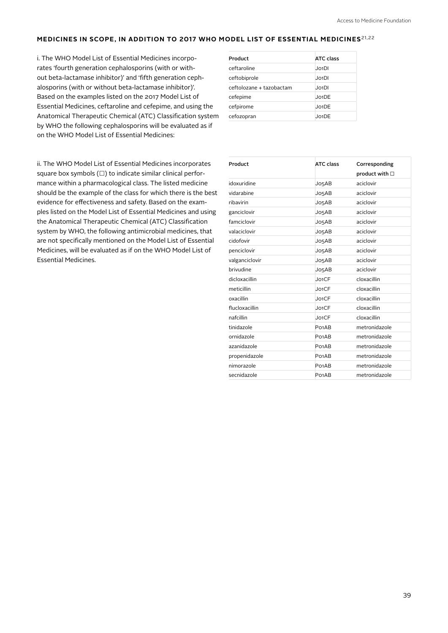# **MEDICINES IN SCOPE, IN ADDITION TO 2017 WHO MODEL LIST OF ESSENTIAL MEDICINES**21,22

i. The WHO Model List of Essential Medicines incorporates 'fourth generation cephalosporins (with or without beta-lactamase inhibitor)' and 'fifth generation cephalosporins (with or without beta-lactamase inhibitor)'. Based on the examples listed on the 2017 Model List of Essential Medicines, ceftaroline and cefepime, and using the Anatomical Therapeutic Chemical (ATC) Classification system by WHO the following cephalosporins will be evaluated as if on the WHO Model List of Essential Medicines:

ii. The WHO Model List of Essential Medicines incorporates square box symbols (□) to indicate similar clinical performance within a pharmacological class. The listed medicine should be the example of the class for which there is the best evidence for effectiveness and safety. Based on the examples listed on the Model List of Essential Medicines and using the Anatomical Therapeutic Chemical (ATC) Classification system by WHO, the following antimicrobial medicines, that are not specifically mentioned on the Model List of Essential Medicines, will be evaluated as if on the WHO Model List of Essential Medicines.

| Product                  | <b>ATC class</b>   |
|--------------------------|--------------------|
| ceftaroline              | Jo <sub>1</sub> DI |
| ceftobiprole             | Jo <sub>1</sub> DI |
| ceftolozane + tazobactam | Jo <sub>1</sub> DI |
| cefepime                 | Jo <sub>1</sub> DE |
| cefpirome                | Jo <sub>1</sub> DE |
| cefozopran               | Jo <sub>1</sub> DE |

| Product        | <b>ATC</b> class               | Corresponding          |
|----------------|--------------------------------|------------------------|
|                |                                | product with $\square$ |
| idoxuridine    | Jo5AB                          | aciclovir              |
| vidarabine     | <b>JosAB</b>                   | aciclovir              |
| ribavirin      | <b>JosAB</b>                   | aciclovir              |
| ganciclovir    | <b>JosAB</b>                   | aciclovir              |
| famciclovir    | <b>JosAB</b>                   | aciclovir              |
| valaciclovir   | <b>JosAB</b>                   | aciclovir              |
| cidofovir      | <b>JosAB</b>                   | aciclovir              |
| penciclovir    | <b>JosAB</b>                   | aciclovir              |
| valganciclovir | Jo5AB                          | aciclovir              |
| brivudine      | <b>JosAB</b>                   | aciclovir              |
| dicloxacillin  | Jo1CF                          | cloxacillin            |
| meticillin     | Jo1CF                          | cloxacillin            |
| oxacillin      | Jo1CF                          | cloxacillin            |
| flucloxacillin | Jo1CF                          | cloxacillin            |
| nafcillin      | Jo1CF                          | cloxacillin            |
| tinidazole     | Po <sub>1</sub> A <sub>B</sub> | metronidazole          |
| ornidazole     | Po <sub>1</sub> A <sub>B</sub> | metronidazole          |
| azanidazole    | Po <sub>1</sub> AB             | metronidazole          |
| propenidazole  | Po <sub>1</sub> AB             | metronidazole          |
| nimorazole     | Po <sub>1</sub> A <sub>B</sub> | metronidazole          |
| secnidazole    | Po <sub>1</sub> A <sub>B</sub> | metronidazole          |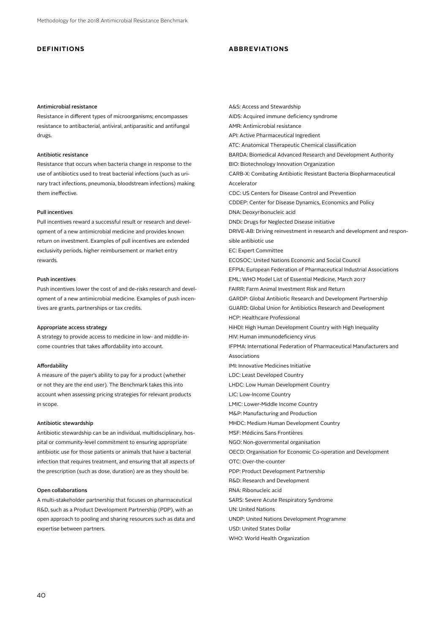## **DEFINITIONS**

#### Antimicrobial resistance

Resistance in different types of microorganisms; encompasses resistance to antibacterial, antiviral, antiparasitic and antifungal drugs.

#### Antibiotic resistance

Resistance that occurs when bacteria change in response to the use of antibiotics used to treat bacterial infections (such as urinary tract infections, pneumonia, bloodstream infections) making them ineffective.

## Pull incentives

Pull incentives reward a successful result or research and development of a new antimicrobial medicine and provides known return on investment. Examples of pull incentives are extended exclusivity periods, higher reimbursement or market entry rewards.

#### Push incentives

Push incentives lower the cost of and de-risks research and development of a new antimicrobial medicine. Examples of push incentives are grants, partnerships or tax credits.

#### Appropriate access strategy

A strategy to provide access to medicine in low- and middle-income countries that takes affordability into account.

### Affordability

A measure of the payer's ability to pay for a product (whether or not they are the end user). The Benchmark takes this into account when assessing pricing strategies for relevant products in scope.

#### Antibiotic stewardship

Antibiotic stewardship can be an individual, multidisciplinary, hospital or community-level commitment to ensuring appropriate antibiotic use for those patients or animals that have a bacterial infection that requires treatment, and ensuring that all aspects of the prescription (such as dose, duration) are as they should be.

#### Open collaborations

A multi-stakeholder partnership that focuses on pharmaceutical R&D, such as a Product Development Partnership (PDP), with an open approach to pooling and sharing resources such as data and expertise between partners.

# **ABBREVIATIONS**

A&S: Access and Stewardship AIDS: Acquired immune deficiency syndrome AMR: Antimicrobial resistance API: Active Pharmaceutical Ingredient ATC: Anatomical Therapeutic Chemical classification BARDA: Biomedical Advanced Research and Development Authority BIO: Biotechnology Innovation Organization CARB-X: Combating Antibiotic Resistant Bacteria Biopharmaceutical Accelerator CDC: US Centers for Disease Control and Prevention CDDEP: Center for Disease Dynamics, Economics and Policy DNA: Deoxyribonucleic acid DNDi: Drugs for Neglected Disease initiative DRIVE-AB: Driving reinvestment in research and development and responsible antibiotic use EC: Expert Committee ECOSOC: United Nations Economic and Social Council EFPIA: European Federation of Pharmaceutical Industrial Associations EML: WHO Model List of Essential Medicine, March 2017 FAIRR: Farm Animal Investment Risk and Return GARDP: Global Antibiotic Research and Development Partnership GUARD: Global Union for Antibiotics Research and Development HCP: Healthcare Professional HiHDI: High Human Development Country with High Inequality HIV: Human immunodeficiency virus IFPMA: International Federation of Pharmaceutical Manufacturers and Associations IMI: Innovative Medicines Initiative LDC: Least Developed Country LHDC: Low Human Development Country LIC: Low-Income Country LMIC: Lower-Middle Income Country M&P: Manufacturing and Production MHDC: Medium Human Development Country MSF: Médicins Sans Frontières NGO: Non-governmental organisation OECD: Organisation for Economic Co-operation and Development OTC: Over-the-counter PDP: Product Development Partnership R&D: Research and Development RNA: Ribonucleic acid SARS: Severe Acute Respiratory Syndrome UN: United Nations UNDP: United Nations Development Programme USD: United States Dollar

WHO: World Health Organization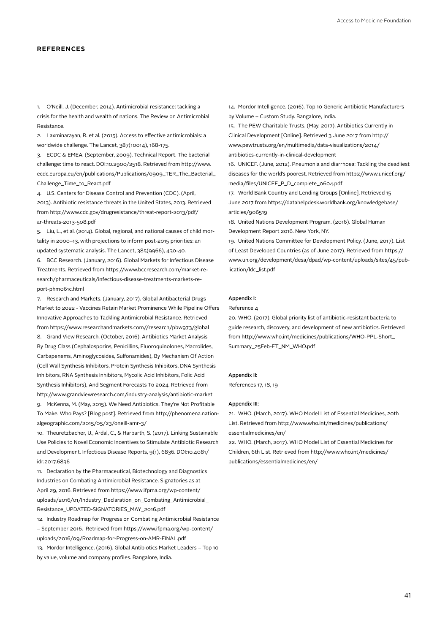#### **REFERENCES**

1. O'Neill, J. (December, 2014). Antimicrobial resistance: tackling a crisis for the health and wealth of nations. The Review on Antimicrobial Resistance.

2. Laxminarayan, R. et al. (2015). Access to effective antimicrobials: a worldwide challenge. The Lancet, 387(10014), 168-175.

3. ECDC & EMEA. (September, 2009). Technical Report. The bacterial challenge: time to react. DOI:10.2900/2518. Retrieved from http://www. ecdc.europa.eu/en/publications/Publications/0909\_TER\_The\_Bacterial\_ Challenge\_Time\_to\_React.pdf

4. U.S. Centers for Disease Control and Prevention (CDC). (April, 2013). Antibiotic resistance threats in the United States, 2013. Retrieved from http://www.cdc.gov/drugresistance/threat-report-2013/pdf/ ar-threats-2013-508.pdf

5. Liu, L., et al. (2014). Global, regional, and national causes of child mortality in 2000–13, with projections to inform post-2015 priorities: an updated systematic analysis. The Lancet, 385(9966), 430-40.

6. BCC Research. (January, 2016). Global Markets for Infectious Disease Treatments. Retrieved from https://www.bccresearch.com/market-research/pharmaceuticals/infectious-disease-treatments-markets-report-phm061c.html

7. Research and Markets. (January, 2017). Global Antibacterial Drugs Market to 2022 - Vaccines Retain Market Prominence While Pipeline Offers Innovative Approaches to Tackling Antimicrobial Resistance. Retrieved from https://www.researchandmarkets.com//research/pbw973/global

8. Grand View Research. (October, 2016). Antibiotics Market Analysis By Drug Class (Cephalosporins, Penicillins, Fluoroquinolones, Macrolides, Carbapenems, Aminoglycosides, Sulfonamides), By Mechanism Of Action (Cell Wall Synthesis Inhibitors, Protein Synthesis Inhibitors, DNA Synthesis Inhibitors, RNA Synthesis Inhibitors, Mycolic Acid Inhibitors, Folic Acid Synthesis Inhibitors), And Segment Forecasts To 2024. Retrieved from http://www.grandviewresearch.com/industry-analysis/antibiotic-market

9. McKenna, M. (May, 2015). We Need Antibiotics. They're Not Profitable To Make. Who Pays? [Blog post]. Retrieved from http://phenomena.nationalgeographic.com/2015/05/23/oneill-amr-3/

10. Theuretzbacher, U., Årdal, C., & Harbarth, S. (2017). Linking Sustainable Use Policies to Novel Economic Incentives to Stimulate Antibiotic Research and Development. Infectious Disease Reports, 9(1), 6836. DOI:10.4081/ idr.2017.6836

11. Declaration by the Pharmaceutical, Biotechnology and Diagnostics Industries on Combating Antimicrobial Resistance. Signatories as at April 29, 2016. Retrieved from https://www.ifpma.org/wp-content/ uploads/2016/01/Industry\_Declaration\_on\_Combating\_Antimicrobial\_ Resistance\_UPDATED-SIGNATORIES\_MAY\_2016.pdf

12. Industry Roadmap for Progress on Combating Antimicrobial Resistance – September 2016. Retrieved from https://www.ifpma.org/wp-content/ uploads/2016/09/Roadmap-for-Progress-on-AMR-FINAL.pdf

13. Mordor Intelligence. (2016). Global Antibiotics Market Leaders – Top 10 by value, volume and company profiles. Bangalore, India.

14. Mordor Intelligence. (2016). Top 10 Generic Antibiotic Manufacturers by Volume – Custom Study. Bangalore, India.

15. The PEW Charitable Trusts. (May, 2017). Antibiotics Currently in Clinical Development [Online]. Retrieved 3 June 2017 from http:// www.pewtrusts.org/en/multimedia/data-visualizations/2014/ antibiotics-currently-in-clinical-development

16. UNICEF. (June, 2012). Pneumonia and diarrhoea: Tackling the deadliest diseases for the world's poorest. Retrieved from https://www.unicef.org/ media/files/UNICEF\_P\_D\_complete\_0604.pdf

17. World Bank Country and Lending Groups [Online]. Retrieved 15 June 2017 from https://datahelpdesk.worldbank.org/knowledgebase/ articles/906519

18. United Nations Development Program. (2016). Global Human Development Report 2016. New York, NY.

19. United Nations Committee for Development Policy. (June, 2017). List of Least Developed Countries (as of June 2017). Retrieved from https:// www.un.org/development/desa/dpad/wp-content/uploads/sites/45/publication/ldc\_list.pdf

## Appendix I:

#### Reference 4

20. WHO. (2017). Global priority list of antibiotic-resistant bacteria to guide research, discovery, and development of new antibiotics. Retrieved from http://www.who.int/medicines/publications/WHO-PPL-Short\_ Summary\_25Feb-ET\_NM\_WHO.pdf

#### Appendix II:

References 17, 18, 19

#### Appendix III:

21. WHO. (March, 2017). WHO Model List of Essential Medicines, 20th List. Retrieved from http://www.who.int/medicines/publications/ essentialmedicines/en/

22. WHO. (March, 2017). WHO Model List of Essential Medicines for Children, 6th List. Retrieved from http://www.who.int/medicines/ publications/essentialmedicines/en/